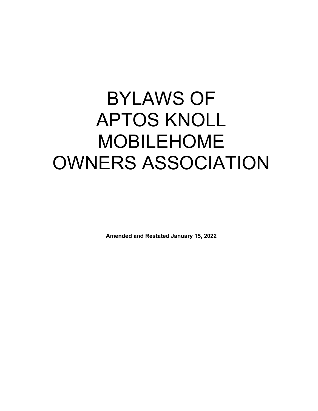# BYLAWS OF APTOS KNOLL MOBILEHOME OWNERS ASSOCIATION

**Amended and Restated January 15, 2022**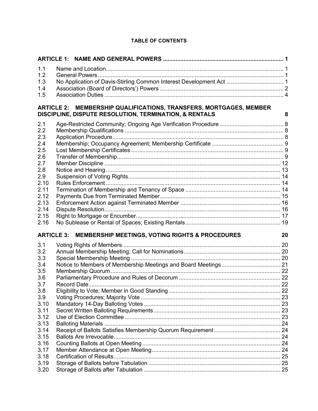| 1.1  |                                                                                                                              |    |
|------|------------------------------------------------------------------------------------------------------------------------------|----|
| 1.2  |                                                                                                                              |    |
| 1.3  |                                                                                                                              |    |
| 1.4  |                                                                                                                              |    |
| 1.5  |                                                                                                                              |    |
|      | ARTICLE 2: MEMBERSHIP QUALIFICATIONS, TRANSFERS, MORTGAGES, MEMBER<br>DISCIPLINE, DISPUTE RESOLUTION, TERMINATION, & RENTALS | 8  |
| 2.1  |                                                                                                                              |    |
| 2.2  |                                                                                                                              |    |
| 2.3  |                                                                                                                              |    |
| 2.4  |                                                                                                                              |    |
| 2.5  |                                                                                                                              |    |
| 2.6  |                                                                                                                              |    |
| 2.7  |                                                                                                                              |    |
| 2.8  |                                                                                                                              |    |
| 2.9  |                                                                                                                              |    |
| 2.10 |                                                                                                                              |    |
| 2.11 |                                                                                                                              |    |
| 2.12 |                                                                                                                              |    |
| 2.13 |                                                                                                                              |    |
| 2.14 |                                                                                                                              |    |
| 2.15 |                                                                                                                              |    |
| 2.16 |                                                                                                                              |    |
|      | ARTICLE 3: MEMBERSHIP MEETINGS, VOTING RIGHTS & PROCEDURES                                                                   | 20 |
| 3.1  | Voting Rights of Members.                                                                                                    |    |
| 3.2  |                                                                                                                              |    |
| 3.3  |                                                                                                                              |    |
| 3.4  |                                                                                                                              |    |
| 3.5  |                                                                                                                              |    |
| 3.6  |                                                                                                                              |    |
| 3.7  |                                                                                                                              |    |
| 3.8  |                                                                                                                              |    |
| 3.9  |                                                                                                                              |    |
| 3.10 |                                                                                                                              |    |
| 3.11 |                                                                                                                              |    |
| 3.12 |                                                                                                                              |    |
| 3.13 |                                                                                                                              |    |
| 3.14 |                                                                                                                              |    |
| 3.15 |                                                                                                                              |    |
| 3.16 |                                                                                                                              |    |
| 3.17 |                                                                                                                              |    |
| 3.18 |                                                                                                                              |    |
| 3.19 |                                                                                                                              |    |
| 3.20 |                                                                                                                              |    |

#### **TABLE OF CONTENTS**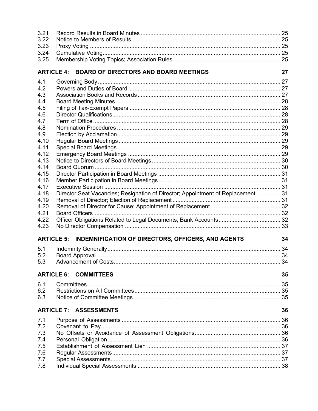| 3.21<br>3.22 |                                                                                  |      |
|--------------|----------------------------------------------------------------------------------|------|
|              |                                                                                  |      |
| 3.23         |                                                                                  |      |
| 3.24         |                                                                                  |      |
| 3.25         |                                                                                  |      |
|              | ARTICLE 4: BOARD OF DIRECTORS AND BOARD MEETINGS                                 | 27   |
| 4.1          |                                                                                  |      |
| 4.2          |                                                                                  |      |
| 4.3          |                                                                                  |      |
| 4.4          |                                                                                  |      |
| 4.5          |                                                                                  |      |
| 4.6          |                                                                                  |      |
| 4.7          |                                                                                  |      |
| 4.8          |                                                                                  |      |
| 4.9          |                                                                                  |      |
| 4.10         |                                                                                  |      |
| 4.11         |                                                                                  |      |
| 4.12         |                                                                                  |      |
| 4.13         |                                                                                  |      |
| 4.14         |                                                                                  |      |
| 4.15         |                                                                                  |      |
| 4.16         |                                                                                  |      |
| 4.17         |                                                                                  |      |
| 4.18         | Director Seat Vacancies; Resignation of Director; Appointment of Replacement  31 |      |
| 4.19         |                                                                                  |      |
| 4.20         |                                                                                  |      |
| 4.21         |                                                                                  |      |
| 4.22         |                                                                                  |      |
| 4.23         |                                                                                  |      |
|              | <b>ARTICLE 5: INDEMNIFICATION OF DIRECTORS, OFFICERS, AND AGENTS</b>             | 34   |
| 5.1          |                                                                                  |      |
| 5.2          |                                                                                  |      |
| 5.3          |                                                                                  | . 34 |
|              | <b>ARTICLE 6: COMMITTEES</b>                                                     | 35   |
| 6.1          |                                                                                  |      |
| 6.2          |                                                                                  |      |
| 6.3          |                                                                                  |      |
|              | <b>ARTICLE 7: ASSESSMENTS</b>                                                    | 36   |
| 7.1          |                                                                                  |      |
| 7.2          |                                                                                  |      |
| 7.3          |                                                                                  |      |
| 7.4          |                                                                                  |      |
| 7.5          |                                                                                  |      |
| 7.6          |                                                                                  |      |
| 7.7          |                                                                                  |      |
| 7.8          |                                                                                  |      |
|              |                                                                                  |      |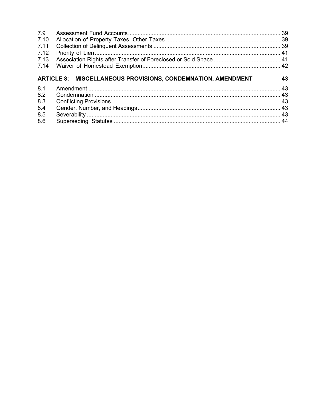| 43 |
|----|
|    |
|    |
|    |
|    |
|    |
|    |
|    |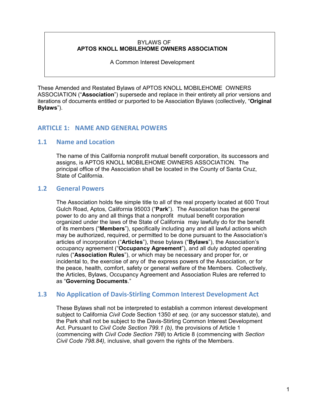#### BYLAWS OF **APTOS KNOLL MOBILEHOME OWNERS ASSOCIATION**

A Common Interest Development

These Amended and Restated Bylaws of APTOS KNOLL MOBILEHOME OWNERS ASSOCIATION ("**Association**") supersede and replace in their entirety all prior versions and iterations of documents entitled or purported to be Association Bylaws (collectively, "**Original Bylaws**").

# **ARTICLE 1: NAME AND GENERAL POWERS**

# **1.1 Name and Location**

The name of this California nonprofit mutual benefit corporation, its successors and assigns, is APTOS KNOLL MOBILEHOME OWNERS ASSOCIATION. The principal office of the Association shall be located in the County of Santa Cruz, State of California.

# **1.2 General Powers**

The Association holds fee simple title to all of the real property located at 600 Trout Gulch Road, Aptos, California 95003 ("**Park**"). The Association has the general power to do any and all things that a nonprofit mutual benefit corporation organized under the laws of the State of California may lawfully do for the benefit of its members ("**Members**"), specifically including any and all lawful actions which may be authorized, required, or permitted to be done pursuant to the Association's articles of incorporation ("**Articles**"), these bylaws ("**Bylaws**"), the Association's occupancy agreement ("**Occupancy Agreement**"), and all duly adopted operating rules ("**Association Rules**"), or which may be necessary and proper for, or incidental to, the exercise of any of the express powers of the Association, or for the peace, health, comfort, safety or general welfare of the Members. Collectively, the Articles, Bylaws, Occupancy Agreement and Association Rules are referred to as "**Governing Documents**."

# **1.3 No Application of Davis-Stirling Common Interest Development Act**

These Bylaws shall not be interpreted to establish a common interest development subject to California *Civil Code* Section 1350 *et seq.* (or any successor statute), and the Park shall not be subject to the Davis-Stirling Common Interest Development Act. Pursuant to *Civil Code Section 799.1 (b),* the provisions of Article 1 (commencing with *Civil Code Section 798*) to Article 8 (commencing with *Section Civil Code 798.84),* inclusive, shall govern the rights of the Members.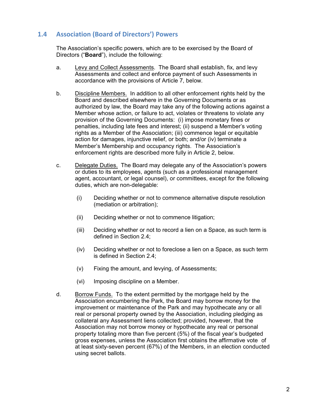# **1.4 Association (Board of Directors') Powers**

The Association's specific powers, which are to be exercised by the Board of Directors ("**Board**"), include the following:

- a. Levy and Collect Assessments. The Board shall establish, fix, and levy Assessments and collect and enforce payment of such Assessments in accordance with the provisions of Article 7, below.
- b. Discipline Members. In addition to all other enforcement rights held by the Board and described elsewhere in the Governing Documents or as authorized by law, the Board may take any of the following actions against a Member whose action, or failure to act, violates or threatens to violate any provision of the Governing Documents: (i) impose monetary fines or penalties, including late fees and interest; (ii) suspend a Member's voting rights as a Member of the Association; (iii) commence legal or equitable action for damages, injunctive relief, or both; and/or (iv) terminate a Member's Membership and occupancy rights. The Association's enforcement rights are described more fully in Article 2, below.
- c. Delegate Duties. The Board may delegate any of the Association's powers or duties to its employees, agents (such as a professional management agent, accountant, or legal counsel), or committees, except for the following duties, which are non-delegable:
	- (i) Deciding whether or not to commence alternative dispute resolution (mediation or arbitration);
	- (ii) Deciding whether or not to commence litigation;
	- (iii) Deciding whether or not to record a lien on a Space, as such term is defined in Section 2.4;
	- (iv) Deciding whether or not to foreclose a lien on a Space, as such term is defined in Section 2.4;
	- (v) Fixing the amount, and levying, of Assessments;
	- (vi) Imposing discipline on a Member.
- d. Borrow Funds. To the extent permitted by the mortgage held by the Association encumbering the Park, the Board may borrow money for the improvement or maintenance of the Park and may hypothecate any or all real or personal property owned by the Association, including pledging as collateral any Assessment liens collected; provided, however, that the Association may not borrow money or hypothecate any real or personal property totaling more than five percent (5%) of the fiscal year's budgeted gross expenses, unless the Association first obtains the affirmative vote of at least sixty-seven percent (67%) of the Members, in an election conducted using secret ballots.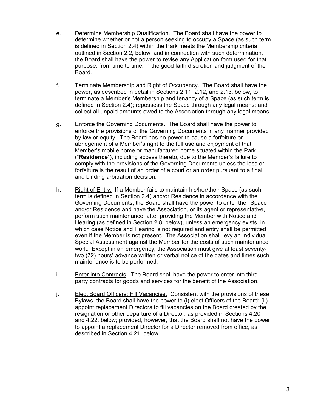- e. Determine Membership Qualification. The Board shall have the power to determine whether or not a person seeking to occupy a Space (as such term is defined in Section 2.4) within the Park meets the Membership criteria outlined in Section 2.2, below, and in connection with such determination, the Board shall have the power to revise any Application form used for that purpose, from time to time, in the good faith discretion and judgment of the Board.
- f. Terminate Membership and Right of Occupancy. The Board shall have the power, as described in detail in Sections 2.11, 2.12, and 2.13, below, to terminate a Member's Membership and tenancy of a Space (as such term is defined in Section 2.4); repossess the Space through any legal means; and collect all unpaid amounts owed to the Association through any legal means.
- g. Enforce the Governing Documents. The Board shall have the power to enforce the provisions of the Governing Documents in any manner provided by law or equity. The Board has no power to cause a forfeiture or abridgement of a Member's right to the full use and enjoyment of that Member's mobile home or manufactured home situated within the Park ("**Residence**"), including access thereto, due to the Member's failure to comply with the provisions of the Governing Documents unless the loss or forfeiture is the result of an order of a court or an order pursuant to a final and binding arbitration decision.
- h. Right of Entry. If a Member fails to maintain his/her/their Space (as such term is defined in Section 2.4) and/or Residence in accordance with the Governing Documents, the Board shall have the power to enter the Space and/or Residence and have the Association, or its agent or representative, perform such maintenance, after providing the Member with Notice and Hearing (as defined in Section 2.8, below), unless an emergency exists, in which case Notice and Hearing is not required and entry shall be permitted even if the Member is not present. The Association shall levy an Individual Special Assessment against the Member for the costs of such maintenance work. Except in an emergency, the Association must give at least seventytwo (72) hours' advance written or verbal notice of the dates and times such maintenance is to be performed.
- i. Enter into Contracts. The Board shall have the power to enter into third party contracts for goods and services for the benefit of the Association.
- j. Elect Board Officers; Fill Vacancies. Consistent with the provisions of these Bylaws, the Board shall have the power to (i) elect Officers of the Board; (ii) appoint replacement Directors to fill vacancies on the Board created by the resignation or other departure of a Director, as provided in Sections 4.20 and 4.22, below; provided, however, that the Board shall not have the power to appoint a replacement Director for a Director removed from office, as described in Section 4.21, below.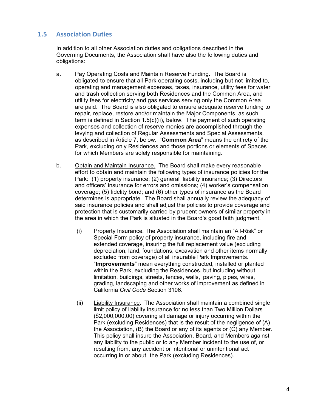# **1.5 Association Duties**

In addition to all other Association duties and obligations described in the Governing Documents, the Association shall have also the following duties and obligations:

- a. Pay Operating Costs and Maintain Reserve Funding. The Board is obligated to ensure that all Park operating costs, including but not limited to, operating and management expenses, taxes, insurance, utility fees for water and trash collection serving both Residences and the Common Area, and utility fees for electricity and gas services serving only the Common Area are paid. The Board is also obligated to ensure adequate reserve funding to repair, replace, restore and/or maintain the Major Components, as such term is defined in Section 1.5(c)(ii), below. The payment of such operating expenses and collection of reserve monies are accomplished through the levying and collection of Regular Assessments and Special Assessments, as described in Article 7, below. "**Common Area**" means the entirety of the Park, excluding only Residences and those portions or elements of Spaces for which Members are solely responsible for maintaining.
- b. Obtain and Maintain Insurance. The Board shall make every reasonable effort to obtain and maintain the following types of insurance policies for the Park: (1) property insurance; (2) general liability insurance; (3) Directors and officers' insurance for errors and omissions; (4) worker's compensation coverage; (5) fidelity bond; and (6) other types of insurance as the Board determines is appropriate. The Board shall annually review the adequacy of said insurance policies and shall adjust the policies to provide coverage and protection that is customarily carried by prudent owners of similar property in the area in which the Park is situated in the Board's good faith judgment.
	- (i) Property Insurance. The Association shall maintain an "All-Risk" or Special Form policy of property insurance, including fire and extended coverage, insuring the full replacement value (excluding depreciation, land, foundations, excavation and other items normally excluded from coverage) of all insurable Park Improvements. "**Improvements**" mean everything constructed, installed or planted within the Park, excluding the Residences, but including without limitation, buildings, streets, fences, walls, paving, pipes, wires, grading, landscaping and other works of improvement as defined in California *Civil Code* Section 3106.
	- (ii) Liability Insurance. The Association shall maintain a combined single limit policy of liability insurance for no less than Two Million Dollars (\$2,000,000.00) covering all damage or injury occurring within the Park (excluding Residences) that is the result of the negligence of (A) the Association, (B) the Board or any of its agents or (C) any Member. This policy shall insure the Association, Board, and Members against any liability to the public or to any Member incident to the use of, or resulting from, any accident or intentional or unintentional act occurring in or about the Park (excluding Residences).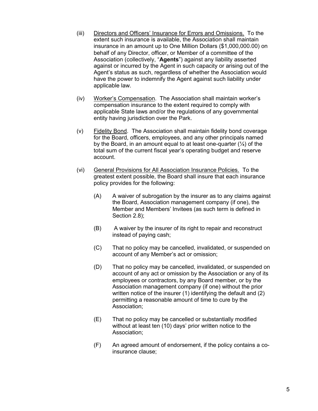- (iii) Directors and Officers' Insurance for Errors and Omissions. To the extent such insurance is available, the Association shall maintain insurance in an amount up to One Million Dollars (\$1,000,000.00) on behalf of any Director, officer, or Member of a committee of the Association (collectively, "**Agents**") against any liability asserted against or incurred by the Agent in such capacity or arising out of the Agent's status as such, regardless of whether the Association would have the power to indemnify the Agent against such liability under applicable law.
- (iv) Worker's Compensation. The Association shall maintain worker's compensation insurance to the extent required to comply with applicable State laws and/or the regulations of any governmental entity having jurisdiction over the Park.
- (v) Fidelity Bond. The Association shall maintain fidelity bond coverage for the Board, officers, employees, and any other principals named by the Board, in an amount equal to at least one-quarter (¼) of the total sum of the current fiscal year's operating budget and reserve account.
- (vi) General Provisions for All Association Insurance Policies. To the greatest extent possible, the Board shall insure that each insurance policy provides for the following:
	- (A) A waiver of subrogation by the insurer as to any claims against the Board, Association management company (if one), the Member and Members' Invitees (as such term is defined in Section 2.8);
	- (B) A waiver by the insurer of its right to repair and reconstruct instead of paying cash;
	- (C) That no policy may be cancelled, invalidated, or suspended on account of any Member's act or omission;
	- (D) That no policy may be cancelled, invalidated, or suspended on account of any act or omission by the Association or any of its employees or contractors, by any Board member, or by the Association management company (if one) without the prior written notice of the insurer (1) identifying the default and (2) permitting a reasonable amount of time to cure by the Association;
	- (E) That no policy may be cancelled or substantially modified without at least ten (10) days' prior written notice to the Association;
	- (F) An agreed amount of endorsement, if the policy contains a coinsurance clause;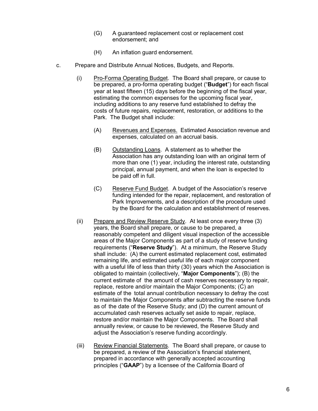- (G) A guaranteed replacement cost or replacement cost endorsement; and
- (H) An inflation guard endorsement.
- c. Prepare and Distribute Annual Notices, Budgets, and Reports.
	- (i) Pro-Forma Operating Budget. The Board shall prepare, or cause to be prepared, a pro-forma operating budget ("**Budget**") for each fiscal year at least fifteen (15) days before the beginning of the fiscal year, estimating the common expenses for the upcoming fiscal year, including additions to any reserve fund established to defray the costs of future repairs, replacement, restoration, or additions to the Park. The Budget shall include:
		- (A) Revenues and Expenses. Estimated Association revenue and expenses, calculated on an accrual basis.
		- (B) Outstanding Loans. A statement as to whether the Association has any outstanding loan with an original term of more than one (1) year, including the interest rate, outstanding principal, annual payment, and when the loan is expected to be paid off in full.
		- (C) Reserve Fund Budget. A budget of the Association's reserve funding intended for the repair, replacement, and restoration of Park Improvements, and a description of the procedure used by the Board for the calculation and establishment of reserves.
	- (ii) Prepare and Review Reserve Study. At least once every three (3) years, the Board shall prepare, or cause to be prepared, a reasonably competent and diligent visual inspection of the accessible areas of the Major Components as part of a study of reserve funding requirements ("**Reserve Study**"). At a minimum, the Reserve Study shall include: (A) the current estimated replacement cost, estimated remaining life, and estimated useful life of each major component with a useful life of less than thirty (30) years which the Association is obligated to maintain (collectively, "**Major Components**"); (B) the current estimate of the amount of cash reserves necessary to repair, replace, restore and/or maintain the Major Components; (C) an estimate of the total annual contribution necessary to defray the cost to maintain the Major Components after subtracting the reserve funds as of the date of the Reserve Study; and (D) the current amount of accumulated cash reserves actually set aside to repair, replace, restore and/or maintain the Major Components. The Board shall annually review, or cause to be reviewed, the Reserve Study and adjust the Association's reserve funding accordingly.
	- (iii) Review Financial Statements. The Board shall prepare, or cause to be prepared, a review of the Association's financial statement, prepared in accordance with generally accepted accounting principles ("**GAAP**") by a licensee of the California Board of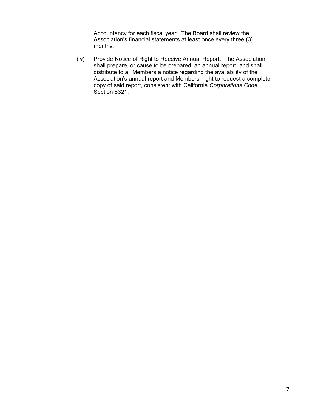Accountancy for each fiscal year. The Board shall review the Association's financial statements at least once every three (3) months.

(iv) Provide Notice of Right to Receive Annual Report. The Association shall prepare, or cause to be prepared, an annual report, and shall distribute to all Members a notice regarding the availability of the Association's annual report and Members' right to request a complete copy of said report, consistent with California *Corporations Code* Section 8321.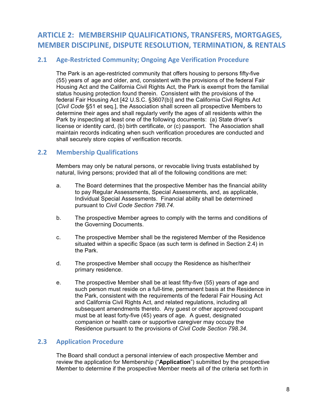# **ARTICLE 2: MEMBERSHIP QUALIFICATIONS, TRANSFERS, MORTGAGES, MEMBER DISCIPLINE, DISPUTE RESOLUTION, TERMINATION, & RENTALS**

# **2.1 Age-Restricted Community; Ongoing Age Verification Procedure**

The Park is an age-restricted community that offers housing to persons fifty-five (55) years of age and older, and, consistent with the provisions of the federal Fair Housing Act and the California Civil Rights Act, the Park is exempt from the familial status housing protection found therein. Consistent with the provisions of the federal Fair Housing Act [42 U.S.C. §3607(b)] and the California Civil Rights Act [*Civil Code* §51 et seq.], the Association shall screen all prospective Members to determine their ages and shall regularly verify the ages of all residents within the Park by inspecting at least one of the following documents: (a) State driver's license or identity card, (b) birth certificate, or (c) passport. The Association shall maintain records indicating when such verification procedures are conducted and shall securely store copies of verification records.

# **2.2 Membership Qualifications**

Members may only be natural persons, or revocable living trusts established by natural, living persons; provided that all of the following conditions are met:

- a. The Board determines that the prospective Member has the financial ability to pay Regular Assessments, Special Assessments, and, as applicable, Individual Special Assessments. Financial ability shall be determined pursuant to *Civil Code Section 798.74*.
- b. The prospective Member agrees to comply with the terms and conditions of the Governing Documents.
- c. The prospective Member shall be the registered Member of the Residence situated within a specific Space (as such term is defined in Section 2.4) in the Park.
- d. The prospective Member shall occupy the Residence as his/her/their primary residence.
- e. The prospective Member shall be at least fifty-five (55) years of age and such person must reside on a full-time, permanent basis at the Residence in the Park, consistent with the requirements of the federal Fair Housing Act and California Civil Rights Act, and related regulations, including all subsequent amendments thereto. Any guest or other approved occupant must be at least forty-five (45) years of age. A guest, designated companion or health care or supportive caregiver may occupy the Residence pursuant to the provisions of *Civil Code Section 798.34.*

# **2.3 Application Procedure**

The Board shall conduct a personal interview of each prospective Member and review the application for Membership ("**Application**") submitted by the prospective Member to determine if the prospective Member meets all of the criteria set forth in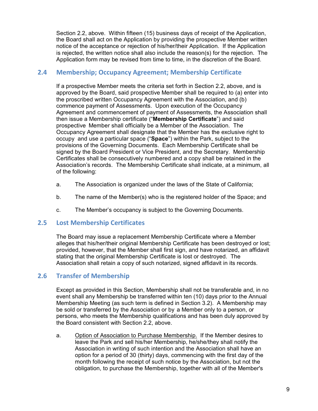Section 2.2, above. Within fifteen (15) business days of receipt of the Application, the Board shall act on the Application by providing the prospective Member written notice of the acceptance or rejection of his/her/their Application. If the Application is rejected, the written notice shall also include the reason(s) for the rejection. The Application form may be revised from time to time, in the discretion of the Board.

# **2.4 Membership; Occupancy Agreement; Membership Certificate**

If a prospective Member meets the criteria set forth in Section 2.2, above, and is approved by the Board, said prospective Member shall be required to (a) enter into the proscribed written Occupancy Agreement with the Association, and (b) commence payment of Assessments. Upon execution of the Occupancy Agreement and commencement of payment of Assessments, the Association shall then issue a Membership certificate ("**Membership Certificate**") and said prospective Member shall officially be a Member of the Association. The Occupancy Agreement shall designate that the Member has the exclusive right to occupy and use a particular space ("**Space**") within the Park, subject to the provisions of the Governing Documents. Each Membership Certificate shall be signed by the Board President or Vice President, and the Secretary. Membership Certificates shall be consecutively numbered and a copy shall be retained in the Association's records. The Membership Certificate shall indicate, at a minimum, all of the following:

- a. The Association is organized under the laws of the State of California;
- b. The name of the Member(s) who is the registered holder of the Space; and
- c. The Member's occupancy is subject to the Governing Documents.

# **2.5 Lost Membership Certificates**

The Board may issue a replacement Membership Certificate where a Member alleges that his/her/their original Membership Certificate has been destroyed or lost; provided, however, that the Member shall first sign, and have notarized, an affidavit stating that the original Membership Certificate is lost or destroyed. The Association shall retain a copy of such notarized, signed affidavit in its records.

# **2.6 Transfer of Membership**

Except as provided in this Section, Membership shall not be transferable and, in no event shall any Membership be transferred within ten (10) days prior to the Annual Membership Meeting (as such term is defined in Section 3.2). A Membership may be sold or transferred by the Association or by a Member only to a person, or persons, who meets the Membership qualifications and has been duly approved by the Board consistent with Section 2.2, above.

a. Option of Association to Purchase Membership. If the Member desires to leave the Park and sell his/her Membership, he/she/they shall notify the Association in writing of such intention and the Association shall have an option for a period of 30 (thirty) days, commencing with the first day of the month following the receipt of such notice by the Association, but not the obligation, to purchase the Membership, together with all of the Member's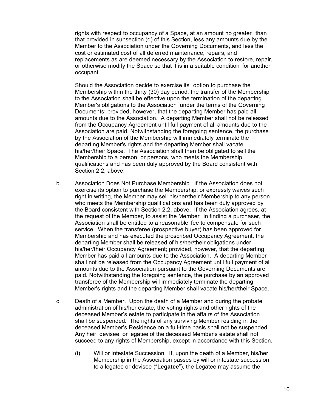rights with respect to occupancy of a Space, at an amount no greater than that provided in subsection (d) of this Section, less any amounts due by the Member to the Association under the Governing Documents, and less the cost or estimated cost of all deferred maintenance, repairs, and replacements as are deemed necessary by the Association to restore, repair, or otherwise modify the Space so that it is in a suitable condition for another occupant.

Should the Association decide to exercise its option to purchase the Membership within the thirty (30) day period, the transfer of the Membership to the Association shall be effective upon the termination of the departing Member's obligations to the Association under the terms of the Governing Documents; provided, however, that the departing Member has paid all amounts due to the Association. A departing Member shall not be released from the Occupancy Agreement until full payment of all amounts due to the Association are paid. Notwithstanding the foregoing sentence, the purchase by the Association of the Membership will immediately terminate the departing Member's rights and the departing Member shall vacate his/her/their Space. The Association shall then be obligated to sell the Membership to a person, or persons, who meets the Membership qualifications and has been duly approved by the Board consistent with Section 2.2, above.

- b. Association Does Not Purchase Membership. If the Association does not exercise its option to purchase the Membership, or expressly waives such right in writing, the Member may sell his/her/their Membership to any person who meets the Membership qualifications and has been duly approved by the Board consistent with Section 2.2, above. If the Association agrees, at the request of the Member, to assist the Member in finding a purchaser, the Association shall be entitled to a reasonable fee to compensate for such service. When the transferee (prospective buyer) has been approved for Membership and has executed the proscribed Occupancy Agreement, the departing Member shall be released of his/her/their obligations under his/her/their Occupancy Agreement; provided, however, that the departing Member has paid all amounts due to the Association. A departing Member shall not be released from the Occupancy Agreement until full payment of all amounts due to the Association pursuant to the Governing Documents are paid. Notwithstanding the foregoing sentence, the purchase by an approved transferee of the Membership will immediately terminate the departing Member's rights and the departing Member shall vacate his/her/their Space.
- c. Death of a Member. Upon the death of a Member and during the probate administration of his/her estate, the voting rights and other rights of the deceased Member's estate to participate in the affairs of the Association shall be suspended. The rights of any surviving Member residing in the deceased Member's Residence on a full-time basis shall not be suspended. Any heir, devisee, or legatee of the deceased Member's estate shall not succeed to any rights of Membership, except in accordance with this Section.
	- (i) Will or Intestate Succession. If, upon the death of a Member, his/her Membership in the Association passes by will or intestate succession to a legatee or devisee ("**Legatee**"), the Legatee may assume the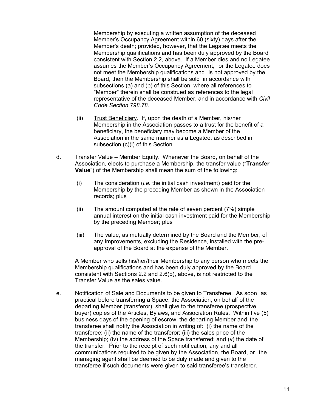Membership by executing a written assumption of the deceased Member's Occupancy Agreement within 60 (sixty) days after the Member's death; provided, however, that the Legatee meets the Membership qualifications and has been duly approved by the Board consistent with Section 2.2, above. If a Member dies and no Legatee assumes the Member's Occupancy Agreement, or the Legatee does not meet the Membership qualifications and is not approved by the Board, then the Membership shall be sold in accordance with subsections (a) and (b) of this Section, where all references to "Member" therein shall be construed as references to the legal representative of the deceased Member, and in accordance with *Civil Code Section 798.78*.

- (ii) Trust Beneficiary. If, upon the death of a Member, his/her Membership in the Association passes to a trust for the benefit of a beneficiary, the beneficiary may become a Member of the Association in the same manner as a Legatee, as described in subsection (c)(i) of this Section.
- d. Transfer Value Member Equity. Whenever the Board, on behalf of the Association, elects to purchase a Membership, the transfer value ("**Transfer Value**") of the Membership shall mean the sum of the following:
	- (i) The consideration (*i.e.* the initial cash investment) paid for the Membership by the preceding Member as shown in the Association records; plus
	- (ii) The amount computed at the rate of seven percent (7%) simple annual interest on the initial cash investment paid for the Membership by the preceding Member; plus
	- (iii) The value, as mutually determined by the Board and the Member, of any Improvements, excluding the Residence, installed with the preapproval of the Board at the expense of the Member.

A Member who sells his/her/their Membership to any person who meets the Membership qualifications and has been duly approved by the Board consistent with Sections 2.2 and 2.6(b), above, is not restricted to the Transfer Value as the sales value.

e. Notification of Sale and Documents to be given to Transferee. As soon as practical before transferring a Space, the Association, on behalf of the departing Member (transferor), shall give to the transferee (prospective buyer) copies of the Articles, Bylaws, and Association Rules. Within five (5) business days of the opening of escrow, the departing Member and the transferee shall notify the Association in writing of: (i) the name of the transferee; (ii) the name of the transferor; (iii) the sales price of the Membership; (iv) the address of the Space transferred; and (v) the date of the transfer. Prior to the receipt of such notification, any and all communications required to be given by the Association, the Board, or the managing agent shall be deemed to be duly made and given to the transferee if such documents were given to said transferee's transferor.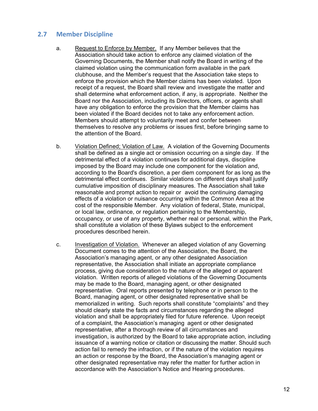# **2.7 Member Discipline**

- a. Request to Enforce by Member. If any Member believes that the Association should take action to enforce any claimed violation of the Governing Documents, the Member shall notify the Board in writing of the claimed violation using the communication form available in the park clubhouse, and the Member's request that the Association take steps to enforce the provision which the Member claims has been violated. Upon receipt of a request, the Board shall review and investigate the matter and shall determine what enforcement action, if any, is appropriate. Neither the Board nor the Association, including its Directors, officers, or agents shall have any obligation to enforce the provision that the Member claims has been violated if the Board decides not to take any enforcement action. Members should attempt to voluntarily meet and confer between themselves to resolve any problems or issues first, before bringing same to the attention of the Board.
- b. Violation Defined; Violation of Law. A violation of the Governing Documents shall be defined as a single act or omission occurring on a single day. If the detrimental effect of a violation continues for additional days, discipline imposed by the Board may include one component for the violation and, according to the Board's discretion, a per diem component for as long as the detrimental effect continues. Similar violations on different days shall justify cumulative imposition of disciplinary measures. The Association shall take reasonable and prompt action to repair or avoid the continuing damaging effects of a violation or nuisance occurring within the Common Area at the cost of the responsible Member. Any violation of federal, State, municipal, or local law, ordinance, or regulation pertaining to the Membership, occupancy, or use of any property, whether real or personal, within the Park, shall constitute a violation of these Bylaws subject to the enforcement procedures described herein.
- c. Investigation of Violation. Whenever an alleged violation of any Governing Document comes to the attention of the Association, the Board, the Association's managing agent, or any other designated Association representative, the Association shall initiate an appropriate compliance process, giving due consideration to the nature of the alleged or apparent violation. Written reports of alleged violations of the Governing Documents may be made to the Board, managing agent, or other designated representative. Oral reports presented by telephone or in person to the Board, managing agent, or other designated representative shall be memorialized in writing. Such reports shall constitute "complaints" and they should clearly state the facts and circumstances regarding the alleged violation and shall be appropriately filed for future reference. Upon receipt of a complaint, the Association's managing agent or other designated representative, after a thorough review of all circumstances and investigation, is authorized by the Board to take appropriate action, including issuance of a warning notice or citation or discussing the matter. Should such action fail to remedy the infraction, or if the nature of the violation requires an action or response by the Board, the Association's managing agent or other designated representative may refer the matter for further action in accordance with the Association's Notice and Hearing procedures.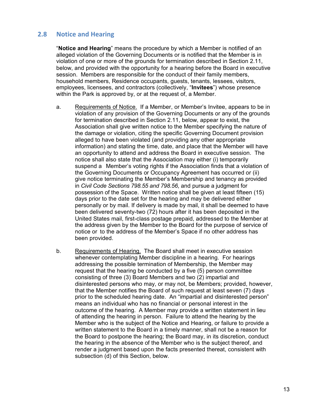# **2.8 Notice and Hearing**

"**Notice and Hearing**" means the procedure by which a Member is notified of an alleged violation of the Governing Documents or is notified that the Member is in violation of one or more of the grounds for termination described in Section 2.11, below, and provided with the opportunity for a hearing before the Board in executive session. Members are responsible for the conduct of their family members, household members, Residence occupants, guests, tenants, lessees, visitors, employees, licensees, and contractors (collectively, "**Invitees**") whose presence within the Park is approved by, or at the request of, a Member.

- a. Requirements of Notice. If a Member, or Member's Invitee, appears to be in violation of any provision of the Governing Documents or any of the grounds for termination described in Section 2.11, below, appear to exist, the Association shall give written notice to the Member specifying the nature of the damage or violation, citing the specific Governing Document provision alleged to have been violated (and providing any other appropriate information) and stating the time, date, and place that the Member will have an opportunity to attend and address the Board in executive session. The notice shall also state that the Association may either (i) temporarily suspend a Member's voting rights if the Association finds that a violation of the Governing Documents or Occupancy Agreement has occurred or (ii) give notice terminating the Member's Membership and tenancy as provided in *Civil Code Sections 798.55 and 798.56*, and pursue a judgment for possession of the Space. Written notice shall be given at least fifteen (15) days prior to the date set for the hearing and may be delivered either personally or by mail. If delivery is made by mail, it shall be deemed to have been delivered seventy-two (72) hours after it has been deposited in the United States mail, first-class postage prepaid, addressed to the Member at the address given by the Member to the Board for the purpose of service of notice or to the address of the Member's Space if no other address has been provided.
- b. Requirements of Hearing. The Board shall meet in executive session whenever contemplating Member discipline in a hearing. For hearings addressing the possible termination of Membership, the Member may request that the hearing be conducted by a five (5) person committee consisting of three (3) Board Members and two (2) impartial and disinterested persons who may, or may not, be Members; provided, however, that the Member notifies the Board of such request at least seven (7) days prior to the scheduled hearing date. An "impartial and disinterested person" means an individual who has no financial or personal interest in the outcome of the hearing. A Member may provide a written statement in lieu of attending the hearing in person. Failure to attend the hearing by the Member who is the subject of the Notice and Hearing, or failure to provide a written statement to the Board in a timely manner, shall not be a reason for the Board to postpone the hearing; the Board may, in its discretion, conduct the hearing in the absence of the Member who is the subject thereof, and render a judgment based upon the facts presented thereat, consistent with subsection (d) of this Section, below.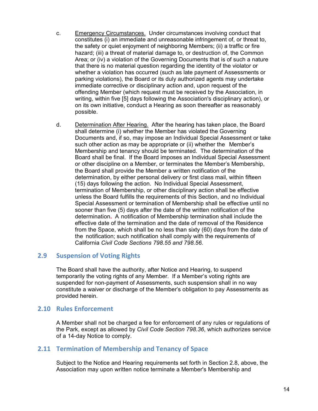- c. Emergency Circumstances. Under circumstances involving conduct that constitutes (i) an immediate and unreasonable infringement of, or threat to, the safety or quiet enjoyment of neighboring Members; (ii) a traffic or fire hazard; (iii) a threat of material damage to, or destruction of, the Common Area; or (iv) a violation of the Governing Documents that is of such a nature that there is no material question regarding the identity of the violator or whether a violation has occurred (such as late payment of Assessments or parking violations), the Board or its duly authorized agents may undertake immediate corrective or disciplinary action and, upon request of the offending Member (which request must be received by the Association, in writing, within five [5] days following the Association's disciplinary action), or on its own initiative, conduct a Hearing as soon thereafter as reasonably possible.
- d. Determination After Hearing. After the hearing has taken place, the Board shall determine (i) whether the Member has violated the Governing Documents and, if so, may impose an Individual Special Assessment or take such other action as may be appropriate or (ii) whether the Member's Membership and tenancy should be terminated. The determination of the Board shall be final. If the Board imposes an Individual Special Assessment or other discipline on a Member, or terminates the Member's Membership, the Board shall provide the Member a written notification of the determination, by either personal delivery or first class mail, within fifteen (15) days following the action. No Individual Special Assessment, termination of Membership, or other disciplinary action shall be effective unless the Board fulfills the requirements of this Section, and no Individual Special Assessment or termination of Membership shall be effective until no sooner than five (5) days after the date of the written notification of the determination**.** A notification of Membership termination shall include the effective date of the termination and the date of removal of the Residence from the Space, which shall be no less than sixty (60) days from the date of the notification; such notification shall comply with the requirements of California *Civil Code Sections 798.55 and 798.56.*

# **2.9 Suspension of Voting Rights**

The Board shall have the authority, after Notice and Hearing, to suspend temporarily the voting rights of any Member. If a Member's voting rights are suspended for non-payment of Assessments, such suspension shall in no way constitute a waiver or discharge of the Member's obligation to pay Assessments as provided herein.

# **2.10 Rules Enforcement**

A Member shall not be charged a fee for enforcement of any rules or regulations of the Park, except as allowed by *Civil Code Section 798.36*, which authorizes service of a 14-day Notice to comply.

# **2.11 Termination of Membership and Tenancy of Space**

Subject to the Notice and Hearing requirements set forth in Section 2.8, above, the Association may upon written notice terminate a Member's Membership and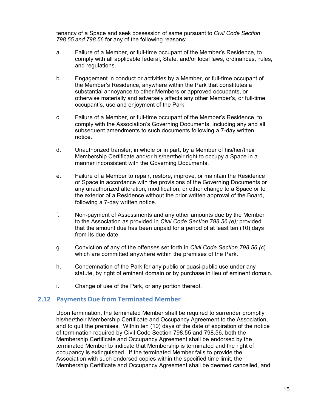tenancy of a Space and seek possession of same pursuant to *Civil Code Section 798.55 and 798.56* for any of the following reasons:

- a. Failure of a Member, or full-time occupant of the Member's Residence, to comply with all applicable federal, State, and/or local laws, ordinances, rules, and regulations.
- b. Engagement in conduct or activities by a Member, or full-time occupant of the Member's Residence, anywhere within the Park that constitutes a substantial annoyance to other Members or approved occupants, or otherwise materially and adversely affects any other Member's, or full-time occupant's, use and enjoyment of the Park.
- c. Failure of a Member, or full-time occupant of the Member's Residence, to comply with the Association's Governing Documents, including any and all subsequent amendments to such documents following a 7-day written notice.
- d. Unauthorized transfer, in whole or in part, by a Member of his/her/their Membership Certificate and/or his/her/their right to occupy a Space in a manner inconsistent with the Governing Documents.
- e. Failure of a Member to repair, restore, improve, or maintain the Residence or Space in accordance with the provisions of the Governing Documents or any unauthorized alteration, modification, or other change to a Space or to the exterior of a Residence without the prior written approval of the Board, following a 7-day written notice.
- f. Non-payment of Assessments and any other amounts due by the Member to the Association as provided in *Civil Code Section 798.56 (e);* provided that the amount due has been unpaid for a period of at least ten (10) days from its due date.
- g. Conviction of any of the offenses set forth in *Civil Code Section 798.56 (c*) which are committed anywhere within the premises of the Park.
- h. Condemnation of the Park for any public or quasi-public use under any statute, by right of eminent domain or by purchase in lieu of eminent domain.
- i. Change of use of the Park, or any portion thereof.

# **2.12 Payments Due from Terminated Member**

Upon termination, the terminated Member shall be required to surrender promptly his/her/their Membership Certificate and Occupancy Agreement to the Association, and to quit the premises. Within ten (10) days of the date of expiration of the notice of termination required by Civil Code Section 798.55 and 798.56, both the Membership Certificate and Occupancy Agreement shall be endorsed by the terminated Member to indicate that Membership is terminated and the right of occupancy is extinguished. If the terminated Member fails to provide the Association with such endorsed copies within the specified time limit, the Membership Certificate and Occupancy Agreement shall be deemed cancelled, and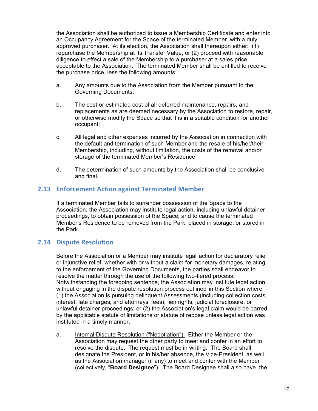the Association shall be authorized to issue a Membership Certificate and enter into an Occupancy Agreement for the Space of the terminated Member with a duly approved purchaser. At its election, the Association shall thereupon either: (1) repurchase the Membership at its Transfer Value, or (2) proceed with reasonable diligence to effect a sale of the Membership to a purchaser at a sales price acceptable to the Association. The terminated Member shall be entitled to receive the purchase price, less the following amounts:

- a. Any amounts due to the Association from the Member pursuant to the Governing Documents;
- b. The cost or estimated cost of all deferred maintenance, repairs, and replacements as are deemed necessary by the Association to restore, repair, or otherwise modify the Space so that it is in a suitable condition for another occupant;
- c. All legal and other expenses incurred by the Association in connection with the default and termination of such Member and the resale of his/her/their Membership, including, without limitation, the costs of the removal and/or storage of the terminated Member's Residence.
- d. The determination of such amounts by the Association shall be conclusive and final.

# **2.13 Enforcement Action against Terminated Member**

If a terminated Member fails to surrender possession of the Space to the Association, the Association may institute legal action, including unlawful detainer proceedings, to obtain possession of the Space, and to cause the terminated Member's Residence to be removed from the Park, placed in storage, or stored in the Park.

# **2.14 Dispute Resolution**

Before the Association or a Member may institute legal action for declaratory relief or injunctive relief, whether with or without a claim for monetary damages, relating to the enforcement of the Governing Documents, the parties shall endeavor to resolve the matter through the use of the following two-tiered process. Notwithstanding the foregoing sentence, the Association may institute legal action without engaging in the dispute resolution process outlined in this Section where (1) the Association is pursuing delinquent Assessments (including collection costs, interest, late charges, and attorneys' fees), lien rights, judicial foreclosure, or unlawful detainer proceedings; or (2) the Association's legal claim would be barred by the applicable statute of limitations or statute of repose unless legal action was instituted in a timely manner.

a. Internal Dispute Resolution ("Negotiation"). Either the Member or the Association may request the other party to meet and confer in an effort to resolve the dispute. The request must be in writing. The Board shall designate the President, or in his/her absence, the Vice-President, as well as the Association manager (if any) to meet and confer with the Member (collectively, "**Board Designee**"). The Board Designee shall also have the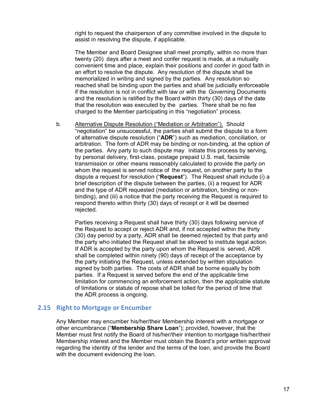right to request the chairperson of any committee involved in the dispute to assist in resolving the dispute, if applicable.

The Member and Board Designee shall meet promptly, within no more than twenty (20) days after a meet and confer request is made, at a mutually convenient time and place, explain their positions and confer in good faith in an effort to resolve the dispute. Any resolution of the dispute shall be memorialized in writing and signed by the parties. Any resolution so reached shall be binding upon the parties and shall be judicially enforceable if the resolution is not in conflict with law or with the Governing Documents and the resolution is ratified by the Board within thirty (30) days of the date that the resolution was executed by the parties. There shall be no fee charged to the Member participating in this "negotiation" process.

b. Alternative Dispute Resolution ("Mediation or Arbitration"). Should "negotiation" be unsuccessful, the parties shall submit the dispute to a form of alternative dispute resolution ("**ADR**") such as mediation, conciliation, or arbitration. The form of ADR may be binding or non-binding, at the option of the parties. Any party to such dispute may initiate this process by serving, by personal delivery, first-class, postage prepaid U.S. mail, facsimile transmission or other means reasonably calculated to provide the party on whom the request is served notice of the request, on another party to the dispute a request for resolution ("**Request**"). The Request shall include (i) a brief description of the dispute between the parties, (ii) a request for ADR and the type of ADR requested (mediation or arbitration, binding or nonbinding), and (iii) a notice that the party receiving the Request is required to respond thereto within thirty (30) days of receipt or it will be deemed rejected.

Parties receiving a Request shall have thirty (30) days following service of the Request to accept or reject ADR and, if not accepted within the thirty (30) day period by a party, ADR shall be deemed rejected by that party and the party who initiated the Request shall be allowed to institute legal action. If ADR is accepted by the party upon whom the Request is served, ADR shall be completed within ninety (90) days of receipt of the acceptance by the party initiating the Request, unless extended by written stipulation signed by both parties. The costs of ADR shall be borne equally by both parties. If a Request is served before the end of the applicable time limitation for commencing an enforcement action, then the applicable statute of limitations or statute of repose shall be tolled for the period of time that the ADR process is ongoing.

#### **2.15 Right to Mortgage or Encumber**

Any Member may encumber his/her/their Membership interest with a mortgage or other encumbrance ("**Membership Share Loan**"); provided, however, that the Member must first notify the Board of his/her/their intention to mortgage his/her/their Membership interest and the Member must obtain the Board's prior written approval regarding the identity of the lender and the terms of the loan, and provide the Board with the document evidencing the loan.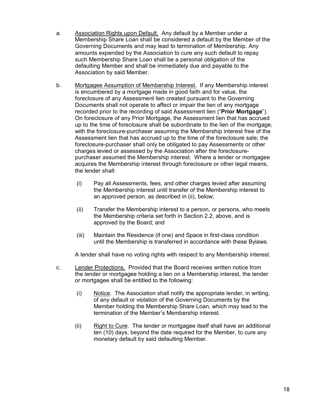- a. Association Rights upon Default. Any default by a Member under a Membership Share Loan shall be considered a default by the Member of the Governing Documents and may lead to termination of Membership. Any amounts expended by the Association to cure any such default to repay such Membership Share Loan shall be a personal obligation of the defaulting Member and shall be immediately due and payable to the Association by said Member.
- b. Mortgagee Assumption of Membership Interest. If any Membership interest is encumbered by a mortgage made in good faith and for value, the foreclosure of any Assessment lien created pursuant to the Governing Documents shall not operate to affect or impair the lien of any mortgage recorded prior to the recording of said Assessment lien ("**Prior Mortgage**"). On foreclosure of any Prior Mortgage, the Assessment lien that has accrued up to the time of foreclosure shall be subordinate to the lien of the mortgage, with the foreclosure-purchaser assuming the Membership interest free of the Assessment lien that has accrued up to the time of the foreclosure sale; the foreclosure-purchaser shall only be obligated to pay Assessments or other charges levied or assessed by the Association after the foreclosurepurchaser assumed the Membership interest. Where a lender or mortgagee acquires the Membership interest through foreclosure or other legal means, the lender shall:
	- (i) Pay all Assessments, fees, and other charges levied after assuming the Membership interest until transfer of the Membership interest to an approved person, as described in (ii), below;
	- (ii) Transfer the Membership interest to a person, or persons, who meets the Membership criteria set forth in Section 2.2, above, and is approved by the Board; and
	- (iii) Maintain the Residence (if one) and Space in first-class condition until the Membership is transferred in accordance with these Bylaws.

A lender shall have no voting rights with respect to any Membership interest.

- c. Lender Protections. Provided that the Board receives written notice from the lender or mortgagee holding a lien on a Membership interest, the lender or mortgagee shall be entitled to the following:
	- (i) Notice. The Association shall notify the appropriate lender, in writing, of any default or violation of the Governing Documents by the Member holding the Membership Share Loan, which may lead to the termination of the Member's Membership interest.
	- (ii) Right to Cure. The lender or mortgagee itself shall have an additional ten (10) days, beyond the date required for the Member, to cure any monetary default by said defaulting Member.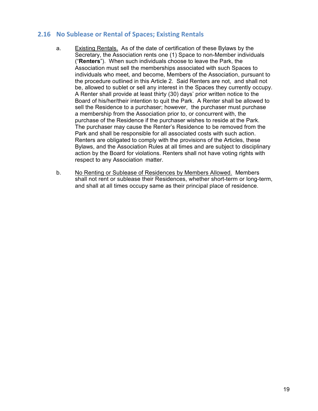# **2.16 No Sublease or Rental of Spaces; Existing Rentals**

- a. Existing Rentals. As of the date of certification of these Bylaws by the Secretary, the Association rents one (1) Space to non-Member individuals ("**Renters**"). When such individuals choose to leave the Park, the Association must sell the memberships associated with such Spaces to individuals who meet, and become, Members of the Association, pursuant to the procedure outlined in this Article 2. Said Renters are not, and shall not be, allowed to sublet or sell any interest in the Spaces they currently occupy. A Renter shall provide at least thirty (30) days' prior written notice to the Board of his/her/their intention to quit the Park. A Renter shall be allowed to sell the Residence to a purchaser; however, the purchaser must purchase a membership from the Association prior to, or concurrent with, the purchase of the Residence if the purchaser wishes to reside at the Park. The purchaser may cause the Renter's Residence to be removed from the Park and shall be responsible for all associated costs with such action. Renters are obligated to comply with the provisions of the Articles, these Bylaws, and the Association Rules at all times and are subject to disciplinary action by the Board for violations. Renters shall not have voting rights with respect to any Association matter.
- b. No Renting or Sublease of Residences by Members Allowed. Members shall not rent or sublease their Residences, whether short-term or long-term, and shall at all times occupy same as their principal place of residence.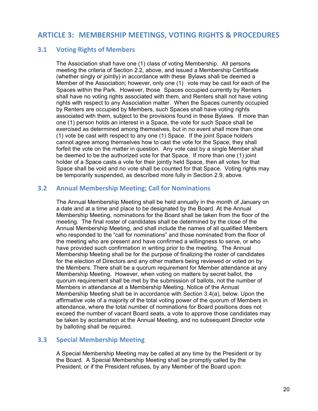# **ARTICLE 3: MEMBERSHIP MEETINGS, VOTING RIGHTS & PROCEDURES**

# **3.1 Voting Rights of Members**

The Association shall have one (1) class of voting Membership. All persons meeting the criteria of Section 2.2, above, and issued a Membership Certificate (whether singly or jointly) in accordance with these Bylaws shall be deemed a Member of the Association; however, only one (1) vote may be cast for each of the Spaces within the Park. However, those Spaces occupied currently by Renters shall have no voting rights associated with them, and Renters shall not have voting rights with respect to any Association matter. When the Spaces currently occupied by Renters are occupied by Members, such Spaces shall have voting rights associated with them, subject to the provisions found in these Bylaws. If more than one (1) person holds an interest in a Space, the vote for such Space shall be exercised as determined among themselves, but in no event shall more than one (1) vote be cast with respect to any one (1) Space. If the joint Space holders cannot agree among themselves how to cast the vote for the Space, they shall forfeit the vote on the matter in question. Any vote cast by a single Member shall be deemed to be the authorized vote for that Space. If more than one (1) joint holder of a Space casts a vote for their jointly held Space, then all votes for that Space shall be void and no vote shall be counted for that Space. Voting rights may be temporarily suspended, as described more fully in Section 2.9, above.

# **3.2 Annual Membership Meeting; Call for Nominations**

The Annual Membership Meeting shall be held annually in the month of January on a date and at a time and place to be designated by the Board. At the Annual Membership Meeting, nominations for the Board shall be taken from the floor of the meeting. The final roster of candidates shall be determined by the close of the Annual Membership Meeting, and shall include the names of all qualified Members who responded to the "call for nominations" and those nominated from the floor of the meeting who are present and have confirmed a willingness to serve, or who have provided such confirmation in writing prior to the meeting. The Annual Membership Meeting shall be for the purpose of finalizing the roster of candidates for the election of Directors and any other matters being reviewed or voted on by the Members. There shall be a quorum requirement for Member attendance at any Membership Meeting. However, when voting on matters by secret ballot, the quorum requirement shall be met by the submission of ballots, not the number of Members in attendance at a Membership Meeting. Notice of the Annual Membership Meeting shall be in accordance with Section 3.4(a), below. Upon the affirmative vote of a majority of the total voting power of the quorum of Members in attendance, where the total number of nominations for Board positions does not exceed the number of vacant Board seats, a vote to approve those candidates may be taken by acclamation at the Annual Meeting, and no subsequent Director vote by balloting shall be required.

# **3.3 Special Membership Meeting**

A Special Membership Meeting may be called at any time by the President or by the Board. A Special Membership Meeting shall be promptly called by the President, or if the President refuses, by any Member of the Board upon: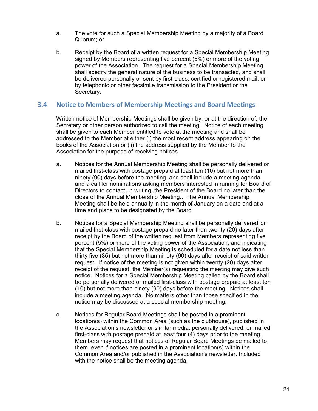- a. The vote for such a Special Membership Meeting by a majority of a Board Quorum; or
- b. Receipt by the Board of a written request for a Special Membership Meeting signed by Members representing five percent (5%) or more of the voting power of the Association. The request for a Special Membership Meeting shall specify the general nature of the business to be transacted, and shall be delivered personally or sent by first-class, certified or registered mail, or by telephonic or other facsimile transmission to the President or the Secretary.

# **3.4 Notice to Members of Membership Meetings and Board Meetings**

Written notice of Membership Meetings shall be given by, or at the direction of, the Secretary or other person authorized to call the meeting. Notice of each meeting shall be given to each Member entitled to vote at the meeting and shall be addressed to the Member at either (i) the most recent address appearing on the books of the Association or (ii) the address supplied by the Member to the Association for the purpose of receiving notices.

- a. Notices for the Annual Membership Meeting shall be personally delivered or mailed first-class with postage prepaid at least ten (10) but not more than ninety (90) days before the meeting, and shall include a meeting agenda and a call for nominations asking members interested in running for Board of Directors to contact, in writing, the President of the Board no later than the close of the Annual Membership Meeting.. The Annual Membership Meeting shall be held annually in the month of January on a date and at a time and place to be designated by the Board.
- b. Notices for a Special Membership Meeting shall be personally delivered or mailed first-class with postage prepaid no later than twenty (20) days after receipt by the Board of the written request from Members representing five percent (5%) or more of the voting power of the Association, and indicating that the Special Membership Meeting is scheduled for a date not less than thirty five (35) but not more than ninety (90) days after receipt of said written request. If notice of the meeting is not given within twenty (20) days after receipt of the request, the Member(s) requesting the meeting may give such notice. Notices for a Special Membership Meeting called by the Board shall be personally delivered or mailed first-class with postage prepaid at least ten (10) but not more than ninety (90) days before the meeting. Notices shall include a meeting agenda. No matters other than those specified in the notice may be discussed at a special membership meeting.
- c. Notices for Regular Board Meetings shall be posted in a prominent location(s) within the Common Area (such as the clubhouse), published in the Association's newsletter or similar media, personally delivered, or mailed first-class with postage prepaid at least four (4) days prior to the meeting. Members may request that notices of Regular Board Meetings be mailed to them, even if notices are posted in a prominent location(s) within the Common Area and/or published in the Association's newsletter. Included with the notice shall be the meeting agenda.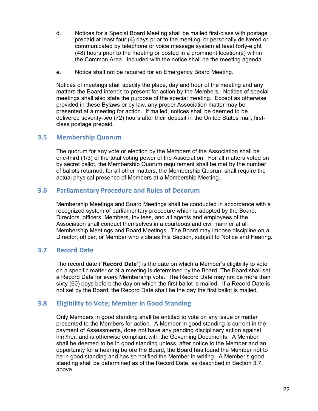- d. Notices for a Special Board Meeting shall be mailed first-class with postage prepaid at least four (4) days prior to the meeting, or personally delivered or communicated by telephone or voice message system at least forty-eight (48) hours prior to the meeting or posted in a prominent location(s) within the Common Area. Included with the notice shall be the meeting agenda.
- e. Notice shall not be required for an Emergency Board Meeting.

Notices of meetings shall specify the place, day and hour of the meeting and any matters the Board intends to present for action by the Members. Notices of special meetings shall also state the purpose of the special meeting. Except as otherwise provided in these Bylaws or by law, any proper Association matter may be presented at a meeting for action. If mailed, notices shall be deemed to be delivered seventy-two (72) hours after their deposit in the United States mail, firstclass postage prepaid.

# **3.5 Membership Quorum**

The quorum for any vote or election by the Members of the Association shall be one-third (1/3) of the total voting power of the Association. For all matters voted on by secret ballot, the Membership Quorum requirement shall be met by the number of ballots returned; for all other matters, the Membership Quorum shall require the actual physical presence of Members at a Membership Meeting.

# **3.6 Parliamentary Procedure and Rules of Decorum**

Membership Meetings and Board Meetings shall be conducted in accordance with a recognized system of parliamentary procedure which is adopted by the Board. Directors, officers, Members, Invitees, and all agents and employees of the Association shall conduct themselves in a courteous and civil manner at all Membership Meetings and Board Meetings. The Board may impose discipline on a Director, officer, or Member who violates this Section, subject to Notice and Hearing.

# **3.7 Record Date**

The record date ("**Record Date**") is the date on which a Member's eligibility to vote on a specific matter or at a meeting is determined by the Board. The Board shall set a Record Date for every Membership vote. The Record Date may not be more than sixty (60) days before the day on which the first ballot is mailed. If a Record Date is not set by the Board, the Record Date shall be the day the first ballot is mailed.

# **3.8 Eligibility to Vote; Member in Good Standing**

Only Members in good standing shall be entitled to vote on any issue or matter presented to the Members for action. A Member in good standing is current in the payment of Assessments, does not have any pending disciplinary action against him/her, and is otherwise compliant with the Governing Documents. A Member shall be deemed to be in good standing unless, after notice to the Member and an opportunity for a hearing before the Board, the Board has found the Member not to be in good standing and has so notified the Member in writing. A Member's good standing shall be determined as of the Record Date, as described in Section 3.7, above.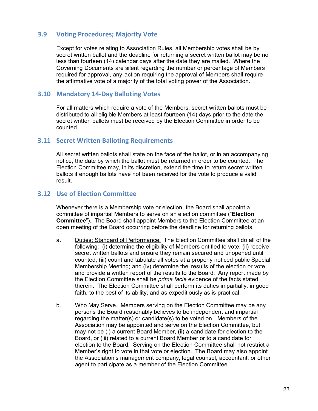# **3.9 Voting Procedures; Majority Vote**

Except for votes relating to Association Rules, all Membership votes shall be by secret written ballot and the deadline for returning a secret written ballot may be no less than fourteen (14) calendar days after the date they are mailed. Where the Governing Documents are silent regarding the number or percentage of Members required for approval, any action requiring the approval of Members shall require the affirmative vote of a majority of the total voting power of the Association.

#### **3.10 Mandatory 14-Day Balloting Votes**

For all matters which require a vote of the Members, secret written ballots must be distributed to all eligible Members at least fourteen (14) days prior to the date the secret written ballots must be received by the Election Committee in order to be counted.

#### **3.11 Secret Written Balloting Requirements**

All secret written ballots shall state on the face of the ballot, or in an accompanying notice, the date by which the ballot must be returned in order to be counted. The Election Committee may, in its discretion, extend the time to return secret written ballots if enough ballots have not been received for the vote to produce a valid result.

# **3.12 Use of Election Committee**

Whenever there is a Membership vote or election, the Board shall appoint a committee of impartial Members to serve on an election committee ("**Election Committee**"). The Board shall appoint Members to the Election Committee at an open meeting of the Board occurring before the deadline for returning ballots.

- a. Duties; Standard of Performance. The Election Committee shall do all of the following: (i) determine the eligibility of Members entitled to vote; (ii) receive secret written ballots and ensure they remain secured and unopened until counted; (iii) count and tabulate all votes at a properly noticed public Special Membership Meeting; and (iv) determine the results of the election or vote and provide a written report of the results to the Board. Any report made by the Election Committee shall be *prima facie* evidence of the facts stated therein. The Election Committee shall perform its duties impartially, in good faith, to the best of its ability, and as expeditiously as is practical.
- b. Who May Serve. Members serving on the Election Committee may be any persons the Board reasonably believes to be independent and impartial regarding the matter(s) or candidate(s) to be voted on. Members of the Association may be appointed and serve on the Election Committee, but may not be (i) a current Board Member, (ii) a candidate for election to the Board, or (iii) related to a current Board Member or to a candidate for election to the Board. Serving on the Election Committee shall not restrict a Member's right to vote in that vote or election. The Board may also appoint the Association's management company, legal counsel, accountant, or other agent to participate as a member of the Election Committee.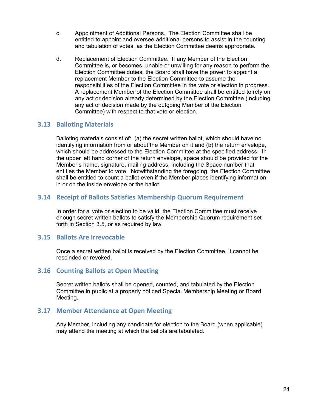- c. Appointment of Additional Persons. The Election Committee shall be entitled to appoint and oversee additional persons to assist in the counting and tabulation of votes, as the Election Committee deems appropriate.
- d. Replacement of Election Committee. If any Member of the Election Committee is, or becomes, unable or unwilling for any reason to perform the Election Committee duties, the Board shall have the power to appoint a replacement Member to the Election Committee to assume the responsibilities of the Election Committee in the vote or election in progress. A replacement Member of the Election Committee shall be entitled to rely on any act or decision already determined by the Election Committee (including any act or decision made by the outgoing Member of the Election Committee) with respect to that vote or election.

# **3.13 Balloting Materials**

Balloting materials consist of: (a) the secret written ballot, which should have no identifying information from or about the Member on it and (b) the return envelope, which should be addressed to the Election Committee at the specified address. In the upper left hand corner of the return envelope, space should be provided for the Member's name, signature, mailing address, including the Space number that entitles the Member to vote. Notwithstanding the foregoing, the Election Committee shall be entitled to count a ballot even if the Member places identifying information in or on the inside envelope or the ballot.

# **3.14 Receipt of Ballots Satisfies Membership Quorum Requirement**

In order for a vote or election to be valid, the Election Committee must receive enough secret written ballots to satisfy the Membership Quorum requirement set forth in Section 3.5, or as required by law.

# **3.15 Ballots Are Irrevocable**

Once a secret written ballot is received by the Election Committee, it cannot be rescinded or revoked.

# **3.16 Counting Ballots at Open Meeting**

Secret written ballots shall be opened, counted, and tabulated by the Election Committee in public at a properly noticed Special Membership Meeting or Board Meeting.

# **3.17 Member Attendance at Open Meeting**

Any Member, including any candidate for election to the Board (when applicable) may attend the meeting at which the ballots are tabulated.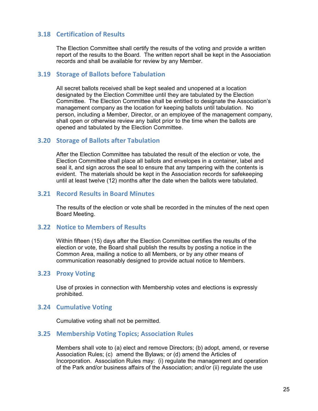# **3.18 Certification of Results**

The Election Committee shall certify the results of the voting and provide a written report of the results to the Board. The written report shall be kept in the Association records and shall be available for review by any Member.

# **3.19 Storage of Ballots before Tabulation**

All secret ballots received shall be kept sealed and unopened at a location designated by the Election Committee until they are tabulated by the Election Committee. The Election Committee shall be entitled to designate the Association's management company as the location for keeping ballots until tabulation. No person, including a Member, Director, or an employee of the management company, shall open or otherwise review any ballot prior to the time when the ballots are opened and tabulated by the Election Committee.

#### **3.20 Storage of Ballots after Tabulation**

After the Election Committee has tabulated the result of the election or vote, the Election Committee shall place all ballots and envelopes in a container, label and seal it, and sign across the seal to ensure that any tampering with the contents is evident. The materials should be kept in the Association records for safekeeping until at least twelve (12) months after the date when the ballots were tabulated.

#### **3.21 Record Results in Board Minutes**

The results of the election or vote shall be recorded in the minutes of the next open Board Meeting.

#### **3.22 Notice to Members of Results**

Within fifteen (15) days after the Election Committee certifies the results of the election or vote, the Board shall publish the results by posting a notice in the Common Area, mailing a notice to all Members, or by any other means of communication reasonably designed to provide actual notice to Members.

#### **3.23 Proxy Voting**

Use of proxies in connection with Membership votes and elections is expressly prohibited.

#### **3.24 Cumulative Voting**

Cumulative voting shall not be permitted.

#### **3.25 Membership Voting Topics; Association Rules**

Members shall vote to (a) elect and remove Directors; (b) adopt, amend, or reverse Association Rules; (c) amend the Bylaws; or (d) amend the Articles of Incorporation. Association Rules may: (i) regulate the management and operation of the Park and/or business affairs of the Association; and/or (ii) regulate the use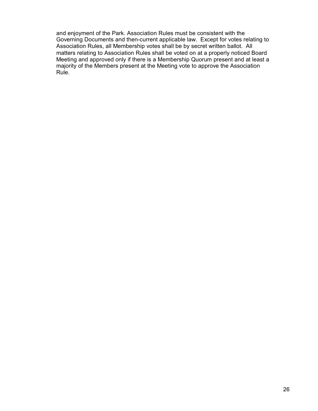and enjoyment of the Park. Association Rules must be consistent with the Governing Documents and then-current applicable law. Except for votes relating to Association Rules, all Membership votes shall be by secret written ballot. All matters relating to Association Rules shall be voted on at a properly noticed Board Meeting and approved only if there is a Membership Quorum present and at least a majority of the Members present at the Meeting vote to approve the Association Rule.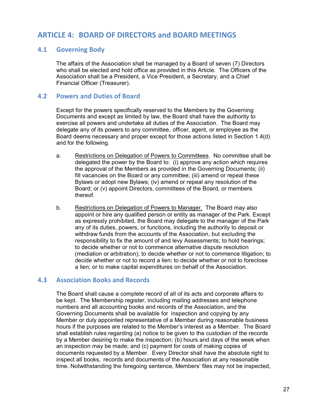# **ARTICLE 4: BOARD OF DIRECTORS and BOARD MEETINGS**

# **4.1 Governing Body**

The affairs of the Association shall be managed by a Board of seven (7) Directors who shall be elected and hold office as provided in this Article. The Officers of the Association shall be a President, a Vice President, a Secretary, and a Chief Financial Officer (Treasurer).

#### **4.2 Powers and Duties of Board**

Except for the powers specifically reserved to the Members by the Governing Documents and except as limited by law, the Board shall have the authority to exercise all powers and undertake all duties of the Association. The Board may delegate any of its powers to any committee, officer, agent, or employee as the Board deems necessary and proper except for those actions listed in Section 1.4(d) and for the following.

- a. Restrictions on Delegation of Powers to Committees. No committee shall be delegated the power by the Board to: (i) approve any action which requires the approval of the Members as provided in the Governing Documents; (ii) fill vacancies on the Board or any committee; (iii) amend or repeal these Bylaws or adopt new Bylaws; (iv) amend or repeal any resolution of the Board; or (v) appoint Directors, committees of the Board, or members thereof.
- b. Restrictions on Delegation of Powers to Manager. The Board may also appoint or hire any qualified person or entity as manager of the Park. Except as expressly prohibited, the Board may delegate to the manager of the Park any of its duties, powers, or functions, including the authority to deposit or withdraw funds from the accounts of the Association, but excluding the responsibility to fix the amount of and levy Assessments; to hold hearings; to decide whether or not to commence alternative dispute resolution (mediation or arbitration); to decide whether or not to commence litigation; to decide whether or not to record a lien; to decide whether or not to foreclose a lien; or to make capital expenditures on behalf of the Association.

# **4.3 Association Books and Records**

The Board shall cause a complete record of all of its acts and corporate affairs to be kept. The Membership register, including mailing addresses and telephone numbers and all accounting books and records of the Association, and the Governing Documents shall be available for inspection and copying by any Member or duly appointed representative of a Member during reasonable business hours if the purposes are related to the Member's interest as a Member. The Board shall establish rules regarding (a) notice to be given to the custodian of the records by a Member desiring to make the inspection; (b) hours and days of the week when an inspection may be made; and (c) payment for costs of making copies of documents requested by a Member. Every Director shall have the absolute right to inspect all books, records and documents of the Association at any reasonable time. Notwithstanding the foregoing sentence, Members' files may not be inspected,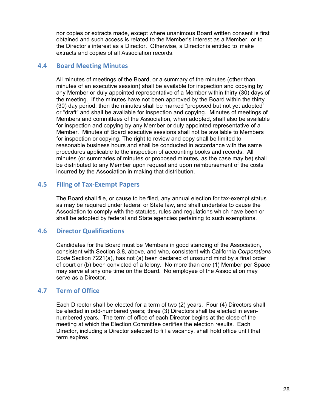nor copies or extracts made, except where unanimous Board written consent is first obtained and such access is related to the Member's interest as a Member, or to the Director's interest as a Director. Otherwise, a Director is entitled to make extracts and copies of all Association records.

# **4.4 Board Meeting Minutes**

All minutes of meetings of the Board, or a summary of the minutes (other than minutes of an executive session) shall be available for inspection and copying by any Member or duly appointed representative of a Member within thirty (30) days of the meeting. If the minutes have not been approved by the Board within the thirty (30) day period, then the minutes shall be marked "proposed but not yet adopted" or "draft" and shall be available for inspection and copying. Minutes of meetings of Members and committees of the Association, when adopted, shall also be available for inspection and copying by any Member or duly appointed representative of a Member. Minutes of Board executive sessions shall not be available to Members for inspection or copying. The right to review and copy shall be limited to reasonable business hours and shall be conducted in accordance with the same procedures applicable to the inspection of accounting books and records. All minutes (or summaries of minutes or proposed minutes, as the case may be) shall be distributed to any Member upon request and upon reimbursement of the costs incurred by the Association in making that distribution.

# **4.5 Filing of Tax-Exempt Papers**

The Board shall file, or cause to be filed, any annual election for tax-exempt status as may be required under federal or State law, and shall undertake to cause the Association to comply with the statutes, rules and regulations which have been or shall be adopted by federal and State agencies pertaining to such exemptions.

# **4.6 Director Qualifications**

Candidates for the Board must be Members in good standing of the Association, consistent with Section 3.8, above, and who, consistent with California *Corporations Code* Section 7221(a), has not (a) been declared of unsound mind by a final order of court or (b) been convicted of a felony. No more than one (1) Member per Space may serve at any one time on the Board. No employee of the Association may serve as a Director.

# **4.7 Term of Office**

Each Director shall be elected for a term of two (2) years. Four (4) Directors shall be elected in odd-numbered years; three (3) Directors shall be elected in evennumbered years. The term of office of each Director begins at the close of the meeting at which the Election Committee certifies the election results. Each Director, including a Director selected to fill a vacancy, shall hold office until that term expires.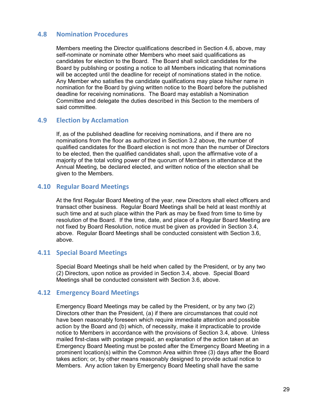# **4.8 Nomination Procedures**

Members meeting the Director qualifications described in Section 4.6, above, may self-nominate or nominate other Members who meet said qualifications as candidates for election to the Board. The Board shall solicit candidates for the Board by publishing or posting a notice to all Members indicating that nominations will be accepted until the deadline for receipt of nominations stated in the notice. Any Member who satisfies the candidate qualifications may place his/her name in nomination for the Board by giving written notice to the Board before the published deadline for receiving nominations. The Board may establish a Nomination Committee and delegate the duties described in this Section to the members of said committee.

#### **4.9 Election by Acclamation**

If, as of the published deadline for receiving nominations, and if there are no nominations from the floor as authorized in Section 3.2 above, the number of qualified candidates for the Board election is not more than the number of Directors to be elected, then the qualified candidates shall, upon the affirmative vote of a majority of the total voting power of the quorum of Members in attendance at the Annual Meeting, be declared elected, and written notice of the election shall be given to the Members.

# **4.10 Regular Board Meetings**

At the first Regular Board Meeting of the year, new Directors shall elect officers and transact other business. Regular Board Meetings shall be held at least monthly at such time and at such place within the Park as may be fixed from time to time by resolution of the Board. If the time, date, and place of a Regular Board Meeting are not fixed by Board Resolution, notice must be given as provided in Section 3.4, above. Regular Board Meetings shall be conducted consistent with Section 3.6, above.

# **4.11 Special Board Meetings**

Special Board Meetings shall be held when called by the President, or by any two (2) Directors, upon notice as provided in Section 3.4, above. Special Board Meetings shall be conducted consistent with Section 3.6, above.

#### **4.12 Emergency Board Meetings**

Emergency Board Meetings may be called by the President, or by any two (2) Directors other than the President, (a) if there are circumstances that could not have been reasonably foreseen which require immediate attention and possible action by the Board and (b) which, of necessity, make it impracticable to provide notice to Members in accordance with the provisions of Section 3.4, above. Unless mailed first-class with postage prepaid, an explanation of the action taken at an Emergency Board Meeting must be posted after the Emergency Board Meeting in a prominent location(s) within the Common Area within three (3) days after the Board takes action; or, by other means reasonably designed to provide actual notice to Members. Any action taken by Emergency Board Meeting shall have the same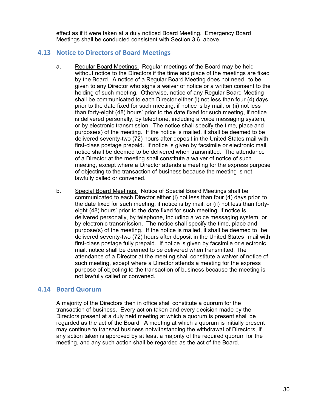effect as if it were taken at a duly noticed Board Meeting. Emergency Board Meetings shall be conducted consistent with Section 3.6, above.

# **4.13 Notice to Directors of Board Meetings**

- a. Regular Board Meetings. Regular meetings of the Board may be held without notice to the Directors if the time and place of the meetings are fixed by the Board. A notice of a Regular Board Meeting does not need to be given to any Director who signs a waiver of notice or a written consent to the holding of such meeting. Otherwise, notice of any Regular Board Meeting shall be communicated to each Director either (i) not less than four (4) days prior to the date fixed for such meeting, if notice is by mail, or (ii) not less than forty-eight (48) hours' prior to the date fixed for such meeting, if notice is delivered personally, by telephone, including a voice messaging system, or by electronic transmission. The notice shall specify the time, place and purpose(s) of the meeting. If the notice is mailed, it shall be deemed to be delivered seventy-two (72) hours after deposit in the United States mail with first-class postage prepaid. If notice is given by facsimile or electronic mail, notice shall be deemed to be delivered when transmitted. The attendance of a Director at the meeting shall constitute a waiver of notice of such meeting, except where a Director attends a meeting for the express purpose of objecting to the transaction of business because the meeting is not lawfully called or convened.
- b. Special Board Meetings. Notice of Special Board Meetings shall be communicated to each Director either (i) not less than four (4) days prior to the date fixed for such meeting, if notice is by mail, or (ii) not less than fortyeight (48) hours' prior to the date fixed for such meeting, if notice is delivered personally, by telephone, including a voice messaging system, or by electronic transmission. The notice shall specify the time, place and purpose(s) of the meeting. If the notice is mailed, it shall be deemed to be delivered seventy-two (72) hours after deposit in the United States mail with first-class postage fully prepaid. If notice is given by facsimile or electronic mail, notice shall be deemed to be delivered when transmitted. The attendance of a Director at the meeting shall constitute a waiver of notice of such meeting, except where a Director attends a meeting for the express purpose of objecting to the transaction of business because the meeting is not lawfully called or convened.

# **4.14 Board Quorum**

A majority of the Directors then in office shall constitute a quorum for the transaction of business. Every action taken and every decision made by the Directors present at a duly held meeting at which a quorum is present shall be regarded as the act of the Board. A meeting at which a quorum is initially present may continue to transact business notwithstanding the withdrawal of Directors, if any action taken is approved by at least a majority of the required quorum for the meeting, and any such action shall be regarded as the act of the Board.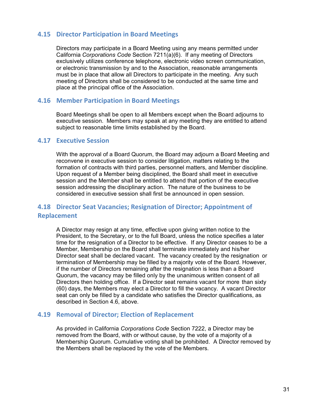#### **4.15 Director Participation in Board Meetings**

Directors may participate in a Board Meeting using any means permitted under California *Corporations Code* Section 7211(a)(6). If any meeting of Directors exclusively utilizes conference telephone, electronic video screen communication, or electronic transmission by and to the Association, reasonable arrangements must be in place that allow all Directors to participate in the meeting. Any such meeting of Directors shall be considered to be conducted at the same time and place at the principal office of the Association.

#### **4.16 Member Participation in Board Meetings**

Board Meetings shall be open to all Members except when the Board adjourns to executive session. Members may speak at any meeting they are entitled to attend subject to reasonable time limits established by the Board.

# **4.17 Executive Session**

With the approval of a Board Quorum, the Board may adjourn a Board Meeting and reconvene in executive session to consider litigation, matters relating to the formation of contracts with third parties, personnel matters, and Member discipline. Upon request of a Member being disciplined, the Board shall meet in executive session and the Member shall be entitled to attend that portion of the executive session addressing the disciplinary action. The nature of the business to be considered in executive session shall first be announced in open session.

# **4.18 Director Seat Vacancies; Resignation of Director; Appointment of Replacement**

A Director may resign at any time, effective upon giving written notice to the President, to the Secretary, or to the full Board, unless the notice specifies a later time for the resignation of a Director to be effective. If any Director ceases to be a Member, Membership on the Board shall terminate immediately and his/her Director seat shall be declared vacant. The vacancy created by the resignation or termination of Membership may be filled by a majority vote of the Board. However, if the number of Directors remaining after the resignation is less than a Board Quorum, the vacancy may be filled only by the unanimous written consent of all Directors then holding office. If a Director seat remains vacant for more than sixty (60) days, the Members may elect a Director to fill the vacancy. A vacant Director seat can only be filled by a candidate who satisfies the Director qualifications, as described in Section 4.6, above.

#### **4.19 Removal of Director; Election of Replacement**

As provided in California *Corporations Code* Section 7222, a Director may be removed from the Board, with or without cause, by the vote of a majority of a Membership Quorum. Cumulative voting shall be prohibited. A Director removed by the Members shall be replaced by the vote of the Members.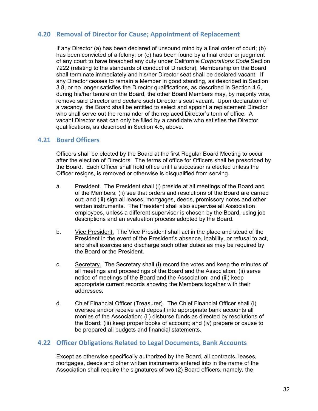# **4.20 Removal of Director for Cause; Appointment of Replacement**

If any Director (a) has been declared of unsound mind by a final order of court; (b) has been convicted of a felony; or (c) has been found by a final order or judgment of any court to have breached any duty under California *Corporations Code* Section 7222 (relating to the standards of conduct of Directors), Membership on the Board shall terminate immediately and his/her Director seat shall be declared vacant. If any Director ceases to remain a Member in good standing, as described in Section 3.8, or no longer satisfies the Director qualifications, as described in Section 4.6, during his/her tenure on the Board, the other Board Members may, by majority vote, remove said Director and declare such Director's seat vacant. Upon declaration of a vacancy, the Board shall be entitled to select and appoint a replacement Director who shall serve out the remainder of the replaced Director's term of office. A vacant Director seat can only be filled by a candidate who satisfies the Director qualifications, as described in Section 4.6, above.

# **4.21 Board Officers**

Officers shall be elected by the Board at the first Regular Board Meeting to occur after the election of Directors. The terms of office for Officers shall be prescribed by the Board. Each Officer shall hold office until a successor is elected unless the Officer resigns, is removed or otherwise is disqualified from serving.

- a. President. The President shall (i) preside at all meetings of the Board and of the Members; (ii) see that orders and resolutions of the Board are carried out; and (iii) sign all leases, mortgages, deeds, promissory notes and other written instruments. The President shall also supervise all Association employees, unless a different supervisor is chosen by the Board, using job descriptions and an evaluation process adopted by the Board.
- b. Vice President. The Vice President shall act in the place and stead of the President in the event of the President's absence, inability, or refusal to act, and shall exercise and discharge such other duties as may be required by the Board or the President.
- c. Secretary. The Secretary shall (i) record the votes and keep the minutes of all meetings and proceedings of the Board and the Association; (ii) serve notice of meetings of the Board and the Association; and (iii) keep appropriate current records showing the Members together with their addresses.
- d. Chief Financial Officer (Treasurer). The Chief Financial Officer shall (i) oversee and/or receive and deposit into appropriate bank accounts all monies of the Association; (ii) disburse funds as directed by resolutions of the Board; (iii) keep proper books of account; and (iv) prepare or cause to be prepared all budgets and financial statements.

# **4.22 Officer Obligations Related to Legal Documents, Bank Accounts**

Except as otherwise specifically authorized by the Board, all contracts, leases, mortgages, deeds and other written instruments entered into in the name of the Association shall require the signatures of two (2) Board officers, namely, the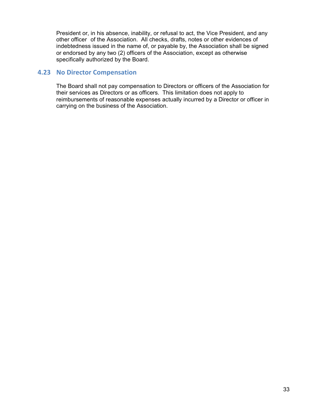President or, in his absence, inability, or refusal to act, the Vice President, and any other officer of the Association. All checks, drafts, notes or other evidences of indebtedness issued in the name of, or payable by, the Association shall be signed or endorsed by any two (2) officers of the Association, except as otherwise specifically authorized by the Board.

# **4.23 No Director Compensation**

The Board shall not pay compensation to Directors or officers of the Association for their services as Directors or as officers. This limitation does not apply to reimbursements of reasonable expenses actually incurred by a Director or officer in carrying on the business of the Association.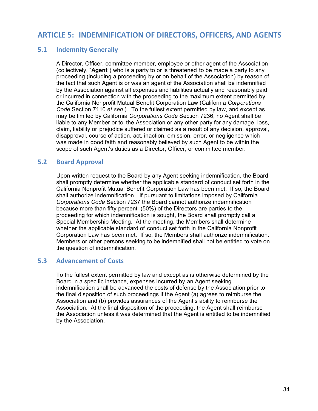# **ARTICLE 5: INDEMNIFICATION OF DIRECTORS, OFFICERS, AND AGENTS**

# **5.1 Indemnity Generally**

A Director, Officer, committee member, employee or other agent of the Association (collectively, "**Agent**") who is a party to or is threatened to be made a party to any proceeding (including a proceeding by or on behalf of the Association) by reason of the fact that such Agent is or was an agent of the Association shall be indemnified by the Association against all expenses and liabilities actually and reasonably paid or incurred in connection with the proceeding to the maximum extent permitted by the California Nonprofit Mutual Benefit Corporation Law (California *Corporations Code* Section 7110 *et seq*.). To the fullest extent permitted by law, and except as may be limited by California *Corporations Code* Section 7236, no Agent shall be liable to any Member or to the Association or any other party for any damage, loss, claim, liability or prejudice suffered or claimed as a result of any decision, approval, disapproval, course of action, act, inaction, omission, error, or negligence which was made in good faith and reasonably believed by such Agent to be within the scope of such Agent's duties as a Director, Officer, or committee member.

# **5.2 Board Approval**

Upon written request to the Board by any Agent seeking indemnification, the Board shall promptly determine whether the applicable standard of conduct set forth in the California Nonprofit Mutual Benefit Corporation Law has been met. If so, the Board shall authorize indemnification. If pursuant to limitations imposed by California *Corporations Code* Section 7237 the Board cannot authorize indemnification because more than fifty percent (50%) of the Directors are parties to the proceeding for which indemnification is sought, the Board shall promptly call a Special Membership Meeting. At the meeting, the Members shall determine whether the applicable standard of conduct set forth in the California Nonprofit Corporation Law has been met. If so, the Members shall authorize indemnification. Members or other persons seeking to be indemnified shall not be entitled to vote on the question of indemnification.

# **5.3 Advancement of Costs**

To the fullest extent permitted by law and except as is otherwise determined by the Board in a specific instance, expenses incurred by an Agent seeking indemnification shall be advanced the costs of defense by the Association prior to the final disposition of such proceedings if the Agent (a) agrees to reimburse the Association and (b) provides assurances of the Agent's ability to reimburse the Association. At the final disposition of the proceeding, the Agent shall reimburse the Association unless it was determined that the Agent is entitled to be indemnified by the Association.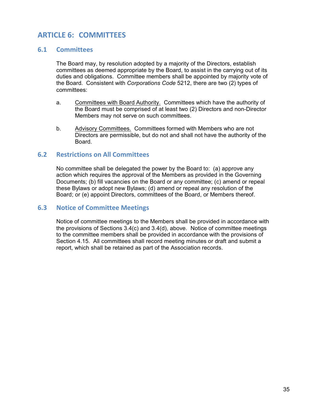# **ARTICLE 6: COMMITTEES**

# **6.1 Committees**

The Board may, by resolution adopted by a majority of the Directors, establish committees as deemed appropriate by the Board, to assist in the carrying out of its duties and obligations. Committee members shall be appointed by majority vote of the Board. Consistent with *Corporations Code* 5212, there are two (2) types of committees:

- a. Committees with Board Authority. Committees which have the authority of the Board must be comprised of at least two (2) Directors and non-Director Members may not serve on such committees.
- b. Advisory Committees. Committees formed with Members who are not Directors are permissible, but do not and shall not have the authority of the Board.

# **6.2 Restrictions on All Committees**

No committee shall be delegated the power by the Board to: (a) approve any action which requires the approval of the Members as provided in the Governing Documents; (b) fill vacancies on the Board or any committee; (c) amend or repeal these Bylaws or adopt new Bylaws; (d) amend or repeal any resolution of the Board; or (e) appoint Directors, committees of the Board, or Members thereof.

# **6.3 Notice of Committee Meetings**

Notice of committee meetings to the Members shall be provided in accordance with the provisions of Sections 3.4(c) and 3.4(d), above. Notice of committee meetings to the committee members shall be provided in accordance with the provisions of Section 4.15. All committees shall record meeting minutes or draft and submit a report, which shall be retained as part of the Association records.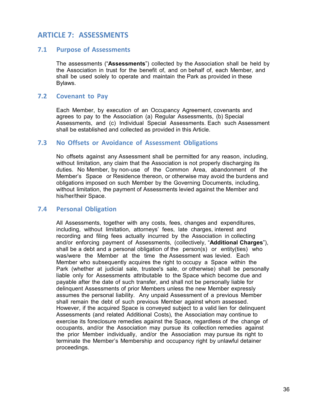# **ARTICLE 7: ASSESSMENTS**

#### **7.1 Purpose of Assessments**

The assessments ("**Assessments**") collected by the Association shall be held by the Association in trust for the benefit of, and on behalf of, each Member, and shall be used solely to operate and maintain the Park as provided in these Bylaws.

#### **7.2 Covenant to Pay**

Each Member, by execution of an Occupancy Agreement, covenants and agrees to pay to the Association (a) Regular Assessments, (b) Special Assessments, and (c) Individual Special Assessments. Each such Assessment shall be established and collected as provided in this Article.

# **7.3 No Offsets or Avoidance of Assessment Obligations**

No offsets against any Assessment shall be permitted for any reason, including, without limitation, any claim that the Association is not properly discharging its duties. No Member, by non-use of the Common Area, abandonment of the Member's Space or Residence thereon, or otherwise may avoid the burdens and obligations imposed on such Member by the Governing Documents, including, without limitation, the payment of Assessments levied against the Member and his/her/their Space.

#### **7.4 Personal Obligation**

All Assessments, together with any costs, fees, changes and expenditures, including, without limitation, attorneys' fees, late charges, interest and recording and filing fees actually incurred by the Association in collecting and/or enforcing payment of Assessments, (collectively, "**Additional Charges**"), shall be a debt and a personal obligation of the person(s) or entity(ties) who was/were the Member at the time the Assessment was levied. Each Member who subsequently acquires the right to occupy a Space within the Park (whether at judicial sale, trustee's sale, or otherwise) shall be personally liable only for Assessments attributable to the Space which become due and payable after the date of such transfer, and shall not be personally liable for delinquent Assessments of prior Members unless the new Member expressly assumes the personal liability. Any unpaid Assessment of a previous Member shall remain the debt of such previous Member against whom assessed. However, if the acquired Space is conveyed subject to a valid lien for delinquent Assessments (and related Additional Costs), the Association may continue to exercise its foreclosure remedies against the Space, regardless of the change of occupants, and/or the Association may pursue its collection remedies against the prior Member individually, and/or the Association may pursue its right to terminate the Member's Membership and occupancy right by unlawful detainer proceedings.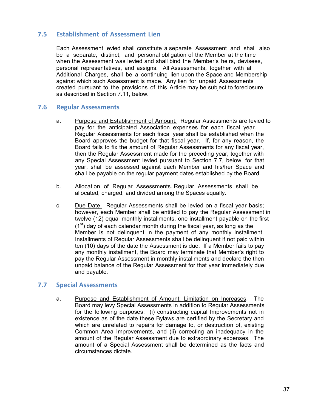# **7.5 Establishment of Assessment Lien**

Each Assessment levied shall constitute a separate Assessment and shall also be a separate, distinct, and personal obligation of the Member at the time when the Assessment was levied and shall bind the Member's heirs, devisees, personal representatives, and assigns. All Assessments, together with all Additional Charges, shall be a continuing lien upon the Space and Membership against which such Assessment is made. Any lien for unpaid Assessments created pursuant to the provisions of this Article may be subject to foreclosure, as described in Section 7.11, below.

#### **7.6 Regular Assessments**

- a. Purpose and Establishment of Amount. Regular Assessments are levied to pay for the anticipated Association expenses for each fiscal year. Regular Assessments for each fiscal year shall be established when the Board approves the budget for that fiscal year. If, for any reason, the Board fails to fix the amount of Regular Assessments for any fiscal year, then the Regular Assessment made for the preceding year, together with any Special Assessment levied pursuant to Section 7.7, below, for that year, shall be assessed against each Member and his/her Space and shall be payable on the regular payment dates established by the Board.
- b. Allocation of Regular Assessments. Regular Assessments shall be allocated, charged, and divided among the Spaces equally.
- c. Due Date. Regular Assessments shall be levied on a fiscal year basis; however, each Member shall be entitled to pay the Regular Assessment in twelve (12) equal monthly installments, one installment payable on the first  $(1<sup>st</sup>)$  day of each calendar month during the fiscal year, as long as the Member is not delinquent in the payment of any monthly installment. Installments of Regular Assessments shall be delinquent if not paid within ten (10) days of the date the Assessment is due. If a Member fails to pay any monthly installment, the Board may terminate that Member's right to pay the Regular Assessment in monthly installments and declare the then unpaid balance of the Regular Assessment for that year immediately due and payable.

#### **7.7 Special Assessments**

a. Purpose and Establishment of Amount; Limitation on Increases. The Board may levy Special Assessments in addition to Regular Assessments for the following purposes: (i) constructing capital Improvements not in existence as of the date these Bylaws are certified by the Secretary and which are unrelated to repairs for damage to, or destruction of, existing Common Area Improvements, and (ii) correcting an inadequacy in the amount of the Regular Assessment due to extraordinary expenses. The amount of a Special Assessment shall be determined as the facts and circumstances dictate.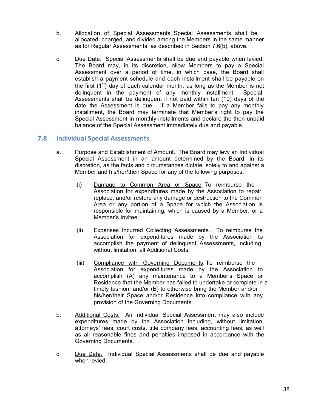- b. Allocation of Special Assessments. Special Assessments shall be allocated, charged, and divided among the Members in the same manner as for Regular Assessments, as described in Section 7.6(b), above.
- c. Due Date. Special Assessments shall be due and payable when levied. The Board may, in its discretion, allow Members to pay a Special Assessment over a period of time, in which case, the Board shall establish a payment schedule and each installment shall be payable on the first  $(1<sup>st</sup>)$  day of each calendar month, as long as the Member is not delinquent in the payment of any monthly installment. Special Assessments shall be delinquent if not paid within ten (10) days of the date the Assessment is due. If a Member fails to pay any monthly installment, the Board may terminate that Member's right to pay the Special Assessment in monthly installments and declare the then unpaid balance of the Special Assessment immediately due and payable.

# **7.8 Individual Special Assessments**

- a. Purpose and Establishment of Amount. The Board may levy an Individual Special Assessment in an amount determined by the Board, in its discretion, as the facts and circumstances dictate, solely to and against a Member and his/her/their Space for any of the following purposes:
	- (i) Damage to Common Area or Space. To reimburse the Association for expenditures made by the Association to repair, replace, and/or restore any damage or destruction to the Common Area or any portion of a Space for which the Association is responsible for maintaining, which is caused by a Member, or a Member's Invitee;
	- (ii) Expenses Incurred Collecting Assessments. To reimburse the Association for expenditures made by the Association to accomplish the payment of delinquent Assessments, including, without limitation, all Additional Costs;
	- (iii) Compliance with Governing Documents. To reimburse the Association for expenditures made by the Association to accomplish (A) any maintenance to a Member's Space or Residence that the Member has failed to undertake or complete in a timely fashion, and/or (B) to otherwise bring the Member and/or his/her/their Space and/or Residence into compliance with any provision of the Governing Documents.
- b. Additional Costs. An Individual Special Assessment may also include expenditures made by the Association including, without limitation, attorneys' fees, court costs, title company fees, accounting fees, as well as all reasonable fines and penalties imposed in accordance with the Governing Documents.
- c. Due Date. Individual Special Assessments shall be due and payable when levied.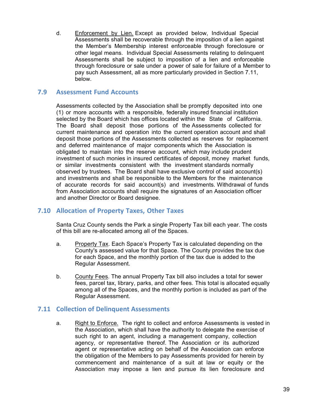d. Enforcement by Lien. Except as provided below, Individual Special Assessments shall be recoverable through the imposition of a lien against the Member's Membership interest enforceable through foreclosure or other legal means. Individual Special Assessments relating to delinquent Assessments shall be subject to imposition of a lien and enforceable through foreclosure or sale under a power of sale for failure of a Member to pay such Assessment, all as more particularly provided in Section 7.11, below.

# **7.9 Assessment Fund Accounts**

Assessments collected by the Association shall be promptly deposited into one (1) or more accounts with a responsible, federally insured financial institution selected by the Board which has offices located within the State of California. The Board shall deposit those portions of the Assessments collected for current maintenance and operation into the current operation account and shall deposit those portions of the Assessments collected as reserves for replacement and deferred maintenance of major components which the Association is obligated to maintain into the reserve account, which may include prudent investment of such monies in insured certificates of deposit, money market funds, or similar investments consistent with the investment standards normally observed by trustees. The Board shall have exclusive control of said account(s) and investments and shall be responsible to the Members for the maintenance of accurate records for said account(s) and investments. Withdrawal of funds from Association accounts shall require the signatures of an Association officer and another Director or Board designee.

# **7.10 Allocation of Property Taxes, Other Taxes**

Santa Cruz County sends the Park a single Property Tax bill each year. The costs of this bill are re-allocated among all of the Spaces.

- a. Property Tax. Each Space's Property Tax is calculated depending on the County's assessed value for that Space. The County provides the tax due for each Space, and the monthly portion of the tax due is added to the Regular Assessment.
- b. County Fees. The annual Property Tax bill also includes a total for sewer fees, parcel tax, library, parks, and other fees. This total is allocated equally among all of the Spaces, and the monthly portion is included as part of the Regular Assessment.

# **7.11 Collection of Delinquent Assessments**

a. Right to Enforce. The right to collect and enforce Assessments is vested in the Association, which shall have the authority to delegate the exercise of such right to an agent, including a management company, collection agency, or representative thereof. The Association or its authorized agent or representative acting on behalf of the Association can enforce the obligation of the Members to pay Assessments provided for herein by commencement and maintenance of a suit at law or equity or the Association may impose a lien and pursue its lien foreclosure and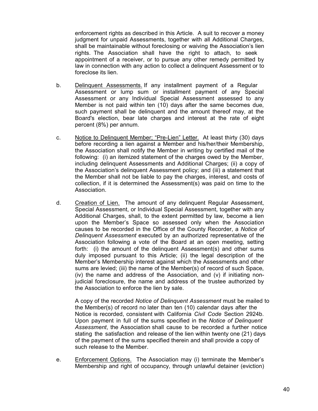enforcement rights as described in this Article. A suit to recover a money judgment for unpaid Assessments, together with all Additional Charges, shall be maintainable without foreclosing or waiving the Association's lien rights. The Association shall have the right to attach, to seek appointment of a receiver, or to pursue any other remedy permitted by law in connection with any action to collect a delinquent Assessment or to foreclose its lien.

- b. Delinquent Assessments. If any installment payment of a Regular Assessment or lump sum or installment payment of any Special Assessment or any Individual Special Assessment assessed to any Member is not paid within ten (10) days after the same becomes due, such payment shall be delinquent and the amount thereof may, at the Board's election, bear late charges and interest at the rate of eight percent (8%) per annum.
- c. Notice to Delinquent Member; "Pre-Lien" Letter. At least thirty (30) days before recording a lien against a Member and his/her/their Membership, the Association shall notify the Member in writing by certified mail of the following: (i) an itemized statement of the charges owed by the Member, including delinquent Assessments and Additional Charges; (ii) a copy of the Association's delinquent Assessment policy; and (iii) a statement that the Member shall not be liable to pay the charges, interest, and costs of collection, if it is determined the Assessment(s) was paid on time to the Association.
- d. Creation of Lien. The amount of any delinquent Regular Assessment, Special Assessment, or Individual Special Assessment, together with any Additional Charges, shall, to the extent permitted by law, become a lien upon the Member's Space so assessed only when the Association causes to be recorded in the Office of the County Recorder, a *Notice of Delinquent Assessment* executed by an authorized representative of the Association following a vote of the Board at an open meeting, setting forth: (i) the amount of the delinguent Assessment(s) and other sums duly imposed pursuant to this Article; (ii) the legal description of the Member's Membership interest against which the Assessments and other sums are levied; (iii) the name of the Member(s) of record of such Space, (iv) the name and address of the Association, and (v) if initiating nonjudicial foreclosure, the name and address of the trustee authorized by the Association to enforce the lien by sale.

A copy of the recorded *Notice of Delinquent Assessment* must be mailed to the Member(s) of record no later than ten (10) calendar days after the Notice is recorded, consistent with California *Civil Code* Section 2924b. Upon payment in full of the sums specified in the *Notice of Delinquent Assessment*, the Association shall cause to be recorded a further notice stating the satisfaction and release of the lien within twenty one (21) days of the payment of the sums specified therein and shall provide a copy of such release to the Member

e. Enforcement Options. The Association may (i) terminate the Member's Membership and right of occupancy, through unlawful detainer (eviction)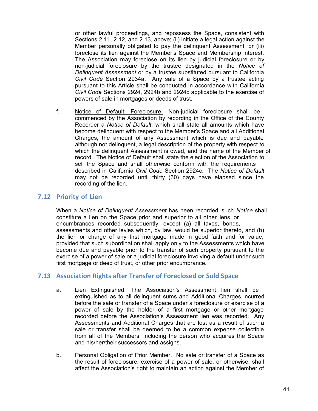or other lawful proceedings, and repossess the Space, consistent with Sections 2.11, 2.12, and 2.13, above; (ii) initiate a legal action against the Member personally obligated to pay the delinguent Assessment; or (iii) foreclose its lien against the Member's Space and Membership interest. The Association may foreclose on its lien by judicial foreclosure or by non-judicial foreclosure by the trustee designated in the *Notice of Delinquent Assessment* or by a trustee substituted pursuant to California *Civil Code* Section 2934a. Any sale of a Space by a trustee acting pursuant to this Article shall be conducted in accordance with California *Civil Code* Sections 2924, 2924b and 2924c applicable to the exercise of powers of sale in mortgages or deeds of trust.

f. Notice of Default; Foreclosure. Non-judicial foreclosure shall be commenced by the Association by recording in the Office of the County Recorder a *Notice of Default*, which shall state all amounts which have become delinquent with respect to the Member's Space and all Additional Charges, the amount of any Assessment which is due and payable although not delinquent, a legal description of the property with respect to which the delinquent Assessment is owed, and the name of the Member of record. The Notice of Default shall state the election of the Association to sell the Space and shall otherwise conform with the requirements described in California *Civil Code* Section 2924c. The *Notice of Default* may not be recorded until thirty (30) days have elapsed since the recording of the lien.

# **7.12 Priority of Lien**

When a *Notice of Delinquent Assessment* has been recorded, such *Notice* shall constitute a lien on the Space prior and superior to all other liens or encumbrances recorded subsequently, except (a) all taxes, bonds, assessments and other levies which, by law, would be superior thereto, and (b) the lien or charge of any first mortgage made in good faith and for value, provided that such subordination shall apply only to the Assessments which have become due and payable prior to the transfer of such property pursuant to the exercise of a power of sale or a judicial foreclosure involving a default under such first mortgage or deed of trust, or other prior encumbrance.

# **7.13 Association Rights after Transfer of Foreclosed or Sold Space**

- a. Lien Extinguished. The Association's Assessment lien shall be extinguished as to all delinquent sums and Additional Charges incurred before the sale or transfer of a Space under a foreclosure or exercise of a power of sale by the holder of a first mortgage or other mortgage recorded before the Association's Assessment lien was recorded. Any Assessments and Additional Charges that are lost as a result of such a sale or transfer shall be deemed to be a common expense collectible from all of the Members, including the person who acquires the Space and his/her/their successors and assigns.
- b. Personal Obligation of Prior Member. No sale or transfer of a Space as the result of foreclosure, exercise of a power of sale, or otherwise, shall affect the Association's right to maintain an action against the Member of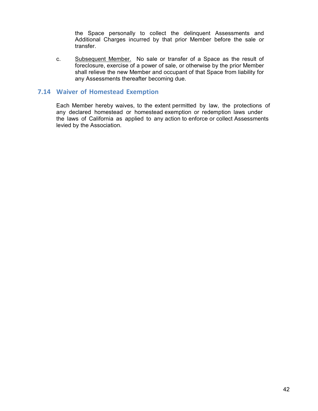the Space personally to collect the delinquent Assessments and Additional Charges incurred by that prior Member before the sale or transfer.

c. Subsequent Member. No sale or transfer of a Space as the result of foreclosure, exercise of a power of sale, or otherwise by the prior Member shall relieve the new Member and occupant of that Space from liability for any Assessments thereafter becoming due.

# **7.14 Waiver of Homestead Exemption**

Each Member hereby waives, to the extent permitted by law, the protections of any declared homestead or homestead exemption or redemption laws under the laws of California as applied to any action to enforce or collect Assessments levied by the Association.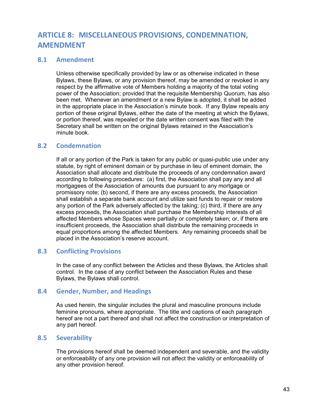# **ARTICLE 8: MISCELLANEOUS PROVISIONS, CONDEMNATION, AMENDMENT**

# **8.1 Amendment**

Unless otherwise specifically provided by law or as otherwise indicated in these Bylaws, these Bylaws, or any provision thereof, may be amended or revoked in any respect by the affirmative vote of Members holding a majority of the total voting power of the Association; provided that the requisite Membership Quorum, has also been met. Whenever an amendment or a new Bylaw is adopted, it shall be added in the appropriate place in the Association's minute book. If any Bylaw repeals any portion of these original Bylaws, either the date of the meeting at which the Bylaws, or portion thereof, was repealed or the date written consent was filed with the Secretary shall be written on the original Bylaws retained in the Association's minute book.

# **8.2 Condemnation**

If all or any portion of the Park is taken for any public or quasi-public use under any statute, by right of eminent domain or by purchase in lieu of eminent domain, the Association shall allocate and distribute the proceeds of any condemnation award according to following procedures: (a) first, the Association shall pay any and all mortgagees of the Association of amounts due pursuant to any mortgage or promissory note; (b) second, if there are any excess proceeds, the Association shall establish a separate bank account and utilize said funds to repair or restore any portion of the Park adversely affected by the taking; (c) third, if there are any excess proceeds, the Association shall purchase the Membership interests of all affected Members whose Spaces were partially or completely taken; or, if there are insufficient proceeds, the Association shall distribute the remaining proceeds in equal proportions among the affected Members. Any remaining proceeds shall be placed in the Association's reserve account.

# **8.3 Conflicting Provisions**

In the case of any conflict between the Articles and these Bylaws, the Articles shall control. In the case of any conflict between the Association Rules and these Bylaws, the Bylaws shall control.

#### **8.4 Gender, Number, and Headings**

As used herein, the singular includes the plural and masculine pronouns include feminine pronouns, where appropriate. The title and captions of each paragraph hereof are not a part thereof and shall not affect the construction or interpretation of any part hereof.

# **8.5 Severability**

The provisions hereof shall be deemed independent and severable, and the validity or enforceability of any one provision will not affect the validity or enforceability of any other provision hereof.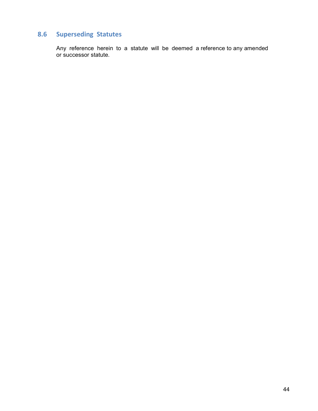# **8.6 Superseding Statutes**

Any reference herein to a statute will be deemed a reference to any amended or successor statute.